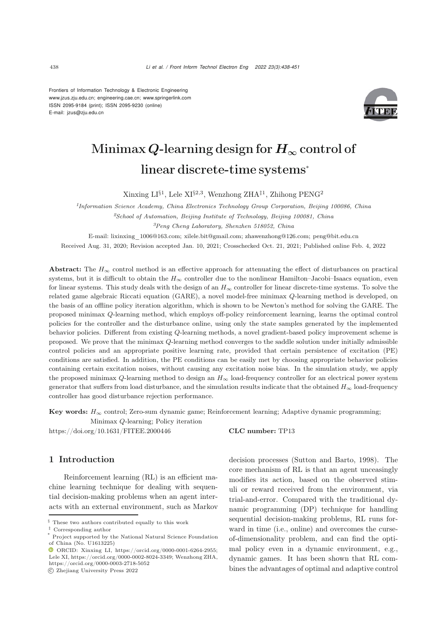Frontiers of Information Technology & Electronic Engineering [www.jzus.zju.edu.cn;](www.jzus.zju.edu.cn) [engineering.cae.cn;](engineering.cae.cn)<www.springerlink.com> ISSN 2095-9184 (print); ISSN 2095-9230 (online) E-mail: jzus@zju.edu.cn



# Minimax *Q*-learning design for *H<sup>∞</sup>* control of linear discrete-time systems<sup>∗</sup>

Xinxing  $LI^{§1}$ , Lele XI<sup>§2,3</sup>, Wenzhong ZHA<sup>‡1</sup>, Zhihong PENG<sup>2</sup>

*<sup>1</sup>Information Science Academy, China Electronics Technology Group Corporation, Beijing 100086, China*

*<sup>2</sup>School of Automation, Beijing Institute of Technology, Beijing 100081, China*

*<sup>3</sup>Peng Cheng Laboratory, Shenzhen 518052, China*

E-mail: lixinxing\_1006@163.com; xilele.bit@gmail.com; zhawenzhong@126.com; peng@bit.edu.cn

Received Aug. 31, 2020; Revision accepted Jan. 10, 2021; Crosschecked Oct. 21, 2021; Published online Feb. 4, 2022

Abstract: The  $H_{\infty}$  control method is an effective approach for attenuating the effect of disturbances on practical systems, but it is difficult to obtain the  $H_{\infty}$  controller due to the nonlinear Hamilton–Jacobi–Isaacs equation, even for linear systems. This study deals with the design of an  $H_{\infty}$  controller for linear discrete-time systems. To solve the related game algebraic Riccati equation (GARE), a novel model-free minimax Q-learning method is developed, on the basis of an offline policy iteration algorithm, which is shown to be Newton's method for solving the GARE. The proposed minimax Q-learning method, which employs off-policy reinforcement learning, learns the optimal control policies for the controller and the disturbance online, using only the state samples generated by the implemented behavior policies. Different from existing Q-learning methods, a novel gradient-based policy improvement scheme is proposed. We prove that the minimax Q-learning method converges to the saddle solution under initially admissible control policies and an appropriate positive learning rate, provided that certain persistence of excitation (PE) conditions are satisfied. In addition, the PE conditions can be easily met by choosing appropriate behavior policies containing certain excitation noises, without causing any excitation noise bias. In the simulation study, we apply the proposed minimax  $Q$ -learning method to design an  $H_{\infty}$  load-frequency controller for an electrical power system generator that suffers from load disturbance, and the simulation results indicate that the obtained  $H_{\infty}$  load-frequency controller has good disturbance rejection performance.

Key words:  $H_{\infty}$  control; Zero-sum dynamic game; Reinforcement learning; Adaptive dynamic programming;

Minimax Q-learning; Policy iteration https://doi.org/10.1631/FITEE.2000446 **CLC number:** TP13

## 1 Introduction

Reinforcement learning (RL) is an efficient machine learning technique for dealing with sequential decision-making problems when an agent interacts with an external environment, such as Markov

decision processes [\(Sutton and Barto](#page-13-0), [1998](#page-13-0)). The core mechanism of RL is that an agent unceasingly modifies its action, based on the observed stimuli or reward received from the environment, via trial-and-error. Compared with the traditional dynamic programming (DP) technique for handling sequential decision-making problems, RL runs forward in time (i.e., online) and overcomes the curseof-dimensionality problem, and can find the optimal policy even in a dynamic environment, e.g., dynamic games. It has been shown that RL combines the advantages of optimal and adaptive control

<sup>§</sup> These two authors contributed equally to this work

*<sup>‡</sup>* Corresponding author

Project supported by the National Natural Science Foundation of China (No. U1613225)

 $\bullet$  ORCID: Xinxing LI, https://orcid.org/0000-0001-6264-2955; Lele XI, https://orcid.org/0000-0002-8024-3349; Wenzhong ZHA, https://orcid.org/0000-0003-2718-5052

c Zhejiang University Press 2022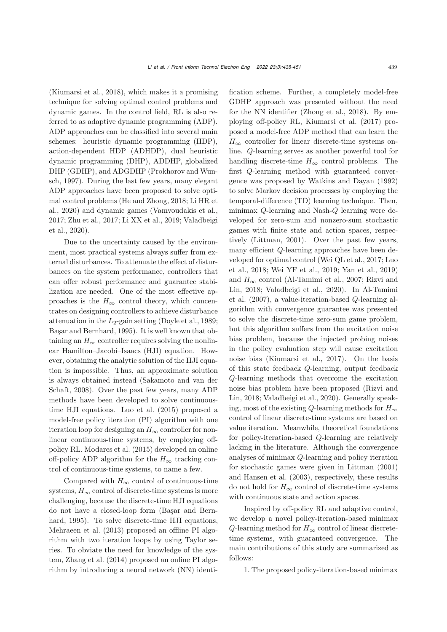[\(Kiumarsi et al., 2018\)](#page-12-0), which makes it a promising technique for solving optimal control problems and dynamic games. In the control field, RL is also referred to as adaptive dynamic programming (ADP). ADP approaches can be classified into several main schemes: heuristic dynamic programming (HDP), action-dependent HDP (ADHDP), dual heuristic dynamic programming (DHP), ADDHP, globalized D[HP](#page-12-1) [\(GDHP\),](#page-12-1) [and](#page-12-1) [ADGDHP](#page-12-1) [\(](#page-12-1)Prokhorov and Wunsch, [1997\)](#page-12-1). During the last few years, many elegant ADP approaches have been proposed to solve optim[al](#page-12-3) [control](#page-12-3) [problems](#page-12-3) [\(He and Zhong, 2018](#page-12-2)[;](#page-12-3) Li HR et al., [2020](#page-12-3)) and dynamic games [\(Vamvoudakis et al.](#page-13-1), [2017](#page-13-1)[;](#page-13-3) [Zhu et al.](#page-13-2)[,](#page-13-3) [2017](#page-13-2)[;](#page-13-3) [Li XX et al., 2019](#page-12-4)[;](#page-13-3) Valadbeigi et al., [2020\)](#page-13-3).

Due to the uncertainty caused by the environment, most practical systems always suffer from external disturbances. To attenuate the effect of disturbances on the system performance, controllers that can offer robust performance and guarantee stabilization are needed. One of the most effective approaches is the  $H_{\infty}$  control theory, which concentrates on designing controllers to achieve disturbance attenuation in the  $L_2$ -gain setting [\(Doyle et al., 1989;](#page-12-5) [Başar and Bernhard, 1995\)](#page-12-6). It is well known that obtaining an  $H_{\infty}$  controller requires solving the nonlinear Hamilton–Jacobi–Isaacs (HJI) equation. However, obtaining the analytic solution of the HJI equation is impossible. Thus, an approximate solution is alw[ays](#page-13-4) [obtained](#page-13-4) [instead](#page-13-4) [\(](#page-13-4)Sakamoto and van der Schaft, [2008\)](#page-13-4). Over the past few years, many ADP methods have been developed to solve continuoustime HJI equations. [Luo et al.](#page-12-7) [\(2015\)](#page-12-7) proposed a model-free policy iteration (PI) algorithm with one iteration loop for designing an  $H_{\infty}$  controller for nonlinear continuous-time systems, by employing offpolicy RL. [Modares et al.](#page-12-8) [\(2015\)](#page-12-8) developed an online off-policy ADP algorithm for the  $H_{\infty}$  tracking control of continuous-time systems, to name a few.

Compared with  $H_{\infty}$  control of continuous-time systems,  $H_{\infty}$  control of discrete-time systems is more challenging, because the discrete-time HJI equations do [not](#page-12-6) [have](#page-12-6) [a](#page-12-6) [closed-loop](#page-12-6) [form](#page-12-6) [\(](#page-12-6)Başar and Bernhard, [1995](#page-12-6)). To solve discrete-time HJI equations, [Mehraeen et al.](#page-12-9) [\(2013](#page-12-9)) proposed an offline PI algorithm with two iteration loops by using Taylor series. To obviate the need for knowledge of the system, [Zhang et al.](#page-13-5) [\(2014\)](#page-13-5) proposed an online PI algorithm by introducing a neural network (NN) identification scheme. Further, a completely model-free GDHP approach was presented without the need for the NN identifier [\(Zhong et al., 2018](#page-13-6)). By employing off-policy RL, [Kiumarsi et al.](#page-12-10) [\(2017](#page-12-10)) proposed a model-free ADP method that can learn the  $H_{\infty}$  controller for linear discrete-time systems online. Q-learning serves as another powerful tool for handling discrete-time  $H_{\infty}$  control problems. The first Q-learning method with guaranteed convergence was proposed by [Watkins and Dayan](#page-13-7) [\(1992](#page-13-7)) to solve Markov decision processes by employing the temporal-difference (TD) learning technique. Then, minimax Q-learning and Nash-Q learning were developed for zero-sum and nonzero-sum stochastic games with finite state and action spaces, respectively [\(Littman](#page-12-11), [2001](#page-12-11)). Over the past few years, many efficient Q-learning approaches have been develop[ed](#page-12-12) [for](#page-12-12) [optimal](#page-12-12) [control](#page-12-12) [\(Wei QL et al.](#page-13-8)[,](#page-12-12) [2017](#page-13-8)[;](#page-12-12) Luo et al., [2018;](#page-12-12) [Wei YF et al.](#page-13-9), [2019](#page-13-9); [Yan et al., 2019](#page-13-10)) and  $H_{\infty}$  [control](#page-13-11) [\(Al-Tamimi et al., 2007](#page-12-13)[;](#page-13-11) Rizvi and Lin, [2018](#page-13-11)[;](#page-12-13) [Valadbeigi et al.](#page-13-3)[,](#page-12-13) [2020](#page-13-3)[\).](#page-12-13) [In](#page-12-13) Al-Tamimi et al. [\(2007\)](#page-12-13), a value-iteration-based Q-learning algorithm with convergence guarantee was presented to solve the discrete-time zero-sum game problem, but this algorithm suffers from the excitation noise bias problem, because the injected probing noises in the policy evaluation step will cause excitation noise bias [\(Kiumarsi et al., 2017\)](#page-12-10). On the basis of this state feedback Q-learning, output feedback Q-learning methods that overcome the excitation noi[se](#page-13-11) [bias](#page-13-11) [problem](#page-13-11) [have](#page-13-11) [been](#page-13-11) [proposed](#page-13-11) [\(](#page-13-11)Rizvi and Lin, [2018](#page-13-11); [Valadbeigi et al.](#page-13-3), [2020](#page-13-3)). Generally speaking, most of the existing Q-learning methods for  $H_{\infty}$ control of linear discrete-time systems are based on value iteration. Meanwhile, theoretical foundations for policy-iteration-based Q-learning are relatively lacking in the literature. Although the convergence analyses of minimax Q-learning and policy iteration for stochastic games were given in [Littman](#page-12-11) [\(2001](#page-12-11)) and [Hansen et al.](#page-12-14) [\(2003\)](#page-12-14), respectively, these results do not hold for  $H_{\infty}$  control of discrete-time systems with continuous state and action spaces.

Inspired by off-policy RL and adaptive control, we develop a novel policy-iteration-based minimax  $Q$ -learning method for  $H_{\infty}$  control of linear discretetime systems, with guaranteed convergence. The main contributions of this study are summarized as follows:

1. The proposed policy-iteration-based minimax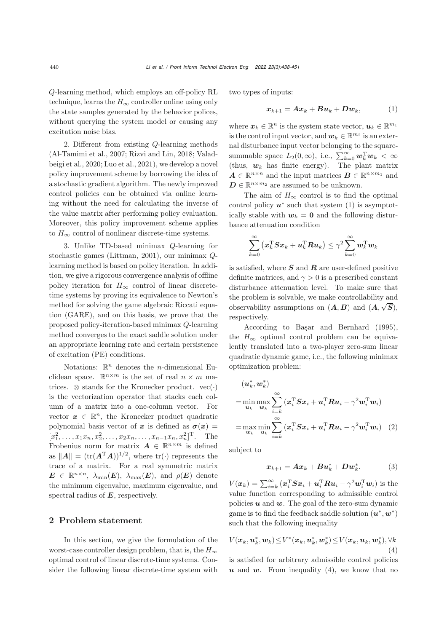Q-learning method, which employs an off-policy RL technique, learns the  $H_{\infty}$  controller online using only the state samples generated by the behavior polices, without querying the system model or causing any excitation noise bias.

2. Different from existing Q-learning methods [\(Al-Tamimi et al.](#page-12-13)[,](#page-13-3) [2007](#page-12-13)[;](#page-13-3) [Rizvi and Lin](#page-13-11)[,](#page-13-3) [2018;](#page-13-11) Valadbeigi et al., [2020](#page-13-3); [Luo et al., 2021\)](#page-12-15), we develop a novel policy improvement scheme by borrowing the idea of a stochastic gradient algorithm. The newly improved control policies can be obtained via online learning without the need for calculating the inverse of the value matrix after performing policy evaluation. Moreover, this policy improvement scheme applies to  $H_{\infty}$  control of nonlinear discrete-time systems.

3. Unlike TD-based minimax Q-learning for stochastic games [\(Littman, 2001](#page-12-11)), our minimax Qlearning method is based on policy iteration. In addition, we give a rigorous convergence analysis of offline policy iteration for  $H_{\infty}$  control of linear discretetime systems by proving its equivalence to Newton's method for solving the game algebraic Riccati equation (GARE), and on this basis, we prove that the proposed policy-iteration-based minimax Q-learning method converges to the exact saddle solution under an appropriate learning rate and certain persistence of excitation (PE) conditions.

Notations:  $\mathbb{R}^n$  denotes the *n*-dimensional Euclidean space.  $\mathbb{R}^{n \times m}$  is the set of real  $n \times m$  matrices.  $\otimes$  stands for the Kronecker product. vec $(\cdot)$ is the vectorization operator that stacks each column of a matrix into a one-column vector. For vector  $x \in \mathbb{R}^n$ , the Kronecker product quadratic polynomial basis vector of *x* is defined as  $\sigma(x)$  =  $[x_1^2, \ldots, x_1x_n, x_2^2, \ldots, x_2x_n, \ldots, x_{n-1}x_n, x_n^2]^{\mathrm{T}}$ . The Frobenius norm for matrix  $\mathbf{A} \in \mathbb{R}^{n \times m}$  is defined as  $||A|| = (\text{tr}(A^T A))^{1/2}$ , where  $\text{tr}(\cdot)$  represents the trace of a matrix. For a real symmetric matrix  $\mathbf{E} \in \mathbb{R}^{n \times n}$ ,  $\lambda_{\min}(\mathbf{E})$ ,  $\lambda_{\max}(\mathbf{E})$ , and  $\rho(\mathbf{E})$  denote the minimum eigenvalue, maximum eigenvalue, and spectral radius of *E*, respectively.

#### 2 Problem statement

In this section, we give the formulation of the worst-case controller design problem, that is, the  $H_{\infty}$ optimal control of linear discrete-time systems. Consider the following linear discrete-time system with

two types of inputs:

<span id="page-2-0"></span>
$$
x_{k+1} = Ax_k + Bu_k + Dw_k, \qquad (1)
$$

where  $x_k \in \mathbb{R}^n$  is the system state vector,  $u_k \in \mathbb{R}^{m_1}$ is the control input vector, and  $w_k \in \mathbb{R}^{m_2}$  is an external disturbance input vector belonging to the squaresummable space  $L_2(0, \infty)$ , i.e.,  $\sum_{k=0}^{\infty} \mathbf{w}_k^{\mathrm{T}} \mathbf{w}_k < \infty$ (thus,  $w_k$  has finite energy). The plant matrix  $A \in \mathbb{R}^{n \times n}$  and the input matrices  $B \in \mathbb{R}^{n \times m_1}$  and  $D \in \mathbb{R}^{n \times m_2}$  are assumed to be unknown.

The aim of  $H_{\infty}$  control is to find the optimal control policy  $u^*$  such that system [\(1\)](#page-2-0) is asymptotically stable with  $w_k = 0$  and the following disturbance attenuation condition

$$
\sum_{k=0}^{\infty} \left(\boldsymbol{x}_k^{\mathrm{T}} \boldsymbol{S} \boldsymbol{x}_k + \boldsymbol{u}_k^{\mathrm{T}} \boldsymbol{R} \boldsymbol{u}_k\right) \leq \gamma^2 \sum_{k=0}^{\infty} \boldsymbol{w}_k^{\mathrm{T}} \boldsymbol{w}_k
$$

is satisfied, where *S* and *R* are user-defined positive definite matrices, and  $\gamma > 0$  is a prescribed constant disturbance attenuation level. To make sure that the problem is solvable, we make controllability and observability assumptions on  $(A, B)$  and  $(A, \sqrt{S})$ , respectively.

According to [Başar and Bernhard](#page-12-6) [\(1995\)](#page-12-6), the  $H_{\infty}$  optimal control problem can be equivalently translated into a two-player zero-sum linear quadratic dynamic game, i.e., the following minimax optimization problem:

$$
(\boldsymbol{u}_k^*, \boldsymbol{w}_k^*)
$$
  
= min<sub>u<sub>k</sub></sub> max<sub>w<sub>k</sub></sub>  $\sum_{i=k}^{\infty} (\boldsymbol{x}_i^{\mathrm{T}} \boldsymbol{S} \boldsymbol{x}_i + \boldsymbol{u}_i^{\mathrm{T}} \boldsymbol{R} \boldsymbol{u}_i - \gamma^2 \boldsymbol{w}_i^{\mathrm{T}} \boldsymbol{w}_i)$   
= max<sub>w<sub>k</sub></sub> min<sub>u<sub>k</sub></sub>  $\sum_{i=k}^{\infty} (\boldsymbol{x}_i^{\mathrm{T}} \boldsymbol{S} \boldsymbol{x}_i + \boldsymbol{u}_i^{\mathrm{T}} \boldsymbol{R} \boldsymbol{u}_i - \gamma^2 \boldsymbol{w}_i^{\mathrm{T}} \boldsymbol{w}_i)$  (2)

subject to

$$
\boldsymbol{x}_{k+1} = \boldsymbol{A}\boldsymbol{x}_k + \boldsymbol{B}\boldsymbol{u}_k^* + \boldsymbol{D}\boldsymbol{w}_k^*.
$$
 (3)

 $V(x_k) = \sum_{i=k}^{\infty} (x_i^{\mathrm{T}} S x_i + \boldsymbol{u}_i^{\mathrm{T}} R \boldsymbol{u}_i - \gamma^2 \boldsymbol{w}_i^{\mathrm{T}} \boldsymbol{w}_i)$  is the value function corresponding to admissible control policies *u* and *w*. The goal of the zero-sum dynamic game is to find the feedback saddle solution  $(u^*, w^*)$ such that the following inequality

<span id="page-2-1"></span>
$$
V(\boldsymbol{x}_k, \boldsymbol{u}_k^*, \boldsymbol{w}_k) \leq V^*(\boldsymbol{x}_k, \boldsymbol{u}_k^*, \boldsymbol{w}_k^*) \leq V(\boldsymbol{x}_k, \boldsymbol{u}_k, \boldsymbol{w}_k^*), \forall k
$$
\n(4)

is satisfied for arbitrary admissible control policies  $u$  and  $w$ . From inequality [\(4\)](#page-2-1), we know that no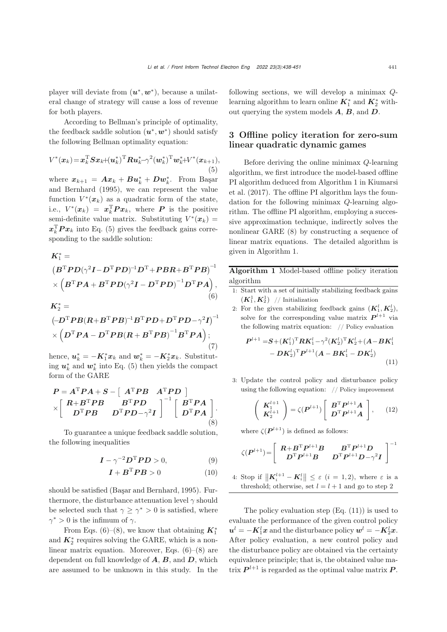(7)

player will deviate from (*u*∗, *w*∗), because a unilateral change of strategy will cause a loss of revenue for both players.

According to Bellman's principle of optimality, the feedback saddle solution  $(\boldsymbol{u}^*, \boldsymbol{w}^*)$  should satisfy the following Bellman optimality equation:

<span id="page-3-0"></span>
$$
V^*(x_k) = \mathbf{x}_k^{\mathrm{T}} \mathbf{S} \mathbf{x}_k + (\mathbf{u}_k^*)^{\mathrm{T}} \mathbf{R} \mathbf{u}_k^* - \gamma^2 (\mathbf{w}_k^*)^{\mathrm{T}} \mathbf{w}_k^* + V^*(\mathbf{x}_{k+1}),
$$
\n(5)

where  $x_{k+1} = Ax_k + Bu_k^* + Dw_k^*$ [.](#page-12-6) [From](#page-12-6) Başar and Bernhard [\(1995](#page-12-6)), we can represent the value function  $V^*(x_k)$  as a quadratic form of the state, i.e.,  $V^*(x_k) = x_k^{\mathrm{T}} P x_k$ , where *P* is the positive semi-definite value matrix. Substituting  $V^*(x_k)$  =  $x_k^{\mathrm{T}} P x_k$  into Eq. [\(5\)](#page-3-0) gives the feedback gains corresponding to the saddle solution:

<span id="page-3-1"></span>
$$
K_1^* =
$$
\n
$$
(B^TPD(\gamma^2I - D^TPD)^{-1}D^T + PBR + B^TPB)^{-1}
$$
\n
$$
\times (B^TPA + B^TPD(\gamma^2I - D^TPD)^{-1}D^TPA),
$$
\n(6)\n
$$
K_2^* =
$$
\n
$$
(-D^TPB(R + B^TPB)^{-1}B^TPD + D^TPD - \gamma^2I)^{-1}
$$
\n
$$
\times (D^TPA - D^TPB(R + B^TPB)^{-1}B^TPA);
$$

hence,  $u_k^* = -K_1^* x_k$  and  $w_k^* = -K_2^* x_k$ . Substituting  $u_k^*$  and  $w_k^*$  into Eq. [\(5\)](#page-3-0) then yields the compact form of the GARE

<span id="page-3-2"></span>
$$
P = A^{\mathrm{T}}PA + S - \left[A^{\mathrm{T}}PB \quad A^{\mathrm{T}}PD\right] \times \left[\begin{array}{cc} R + B^{\mathrm{T}}PB & B^{\mathrm{T}}PD \\ D^{\mathrm{T}}PB & D^{\mathrm{T}}PD-\gamma^{2}I \end{array}\right]^{-1}\left[\begin{array}{c} B^{\mathrm{T}}PA \\ D^{\mathrm{T}}PA \end{array}\right].
$$
\n(8)

To guarantee a unique feedback saddle solution, the following inequalities

$$
I - \gamma^{-2} D^{\mathrm{T}} P D > 0, \tag{9}
$$

$$
\boldsymbol{I} + \boldsymbol{B}^{\mathrm{T}} \boldsymbol{P} \boldsymbol{B} > 0 \tag{10}
$$

should be satisfied [\(Başar and Bernhard](#page-12-6), [1995](#page-12-6)). Furthermore, the disturbance attenuation level  $\gamma$  should be selected such that  $\gamma \geq \gamma^* > 0$  is satisfied, where  $\gamma^* > 0$  is the infimum of  $\gamma$ .

From Eqs. [\(6\)](#page-3-1)–[\(8\)](#page-3-2), we know that obtaining  $K_1^*$ and  $K_2^*$  requires solving the GARE, which is a nonlinear matrix equation. Moreover, Eqs.  $(6)$ – $(8)$  are dependent on full knowledge of *A*, *B*, and *D*, which are assumed to be unknown in this study. In the following sections, we will develop a minimax Qlearning algorithm to learn online  $K_1^*$  and  $K_2^*$  without querying the system models *A*, *B*, and *D*.

## 3 Offline policy iteration for zero-sum linear quadratic dynamic games

Before deriving the online minimax Q-learning algorithm, we first introduce the model-based offline PI al[gorithm](#page-12-10) [deduced](#page-12-10) [from](#page-12-10) [Algorithm](#page-12-10) [1](#page-12-10) [in](#page-12-10) Kiumarsi et al. [\(2017\)](#page-12-10). The offline PI algorithm lays the foundation for the following minimax Q-learning algorithm. The offline PI algorithm, employing a successive approximation technique, indirectly solves the nonlinear GARE [\(8\)](#page-3-2) by constructing a sequence of linear matrix equations. The detailed algorithm is given in Algorithm 1.

Algorithm 1 Model-based offline policy iteration algorithm

- 1: Start with a set of initially stabilizing feedback gains  $(K_1^1, K_2^1)$  // Initialization
- 2: For the given stabilizing feedback gains  $(K_1^l, K_2^l)$ , solve for the corresponding value matrix  $P^{l+1}$  via the following matrix equation: // Policy evaluation

<span id="page-3-3"></span>
$$
P^{l+1} = S + (K_1^l)^{\mathrm{T}} R K_1^l - \gamma^2 (K_2^l)^{\mathrm{T}} K_2^l + (A - BK_1^l - DK_2^l)^{\mathrm{T}} P^{l+1} (A - BK_1^l - DK_2^l)
$$
\n(11)

3: Update the control policy and disturbance policy using the following equation: // Policy improvement

<span id="page-3-4"></span>
$$
\left(\begin{array}{c} \mathbf{K}_1^{l+1} \\ \mathbf{K}_2^{l+1} \end{array}\right) = \zeta(\mathbf{P}^{l+1}) \left[\begin{array}{c} \mathbf{B}^{\mathrm{T}} \mathbf{P}^{l+1} \mathbf{A} \\ \mathbf{D}^{\mathrm{T}} \mathbf{P}^{l+1} \mathbf{A} \end{array}\right],\qquad(12)
$$

where  $\zeta(\mathbf{P}^{l+1})$  is defined as follows:

$$
\zeta(\boldsymbol{P}^{l+1})\hspace{-1mm}=\hspace{-1mm}\left[\begin{array}{cc}\boldsymbol{R}\hspace{-1mm}+\hspace{-1mm}\boldsymbol{B}^{\mathrm{T}}\boldsymbol{P}^{l+1}\boldsymbol{B} & \boldsymbol{B}^{\mathrm{T}}\boldsymbol{P}^{l+1}\boldsymbol{D} \\ \boldsymbol{D}^{\mathrm{T}}\boldsymbol{P}^{l+1}\boldsymbol{B} & \boldsymbol{D}^{\mathrm{T}}\boldsymbol{P}^{l+1}\boldsymbol{D}\hspace{-1mm}-\hspace{-1mm}\gamma^{2}\boldsymbol{I}\end{array}\right]^{-1}
$$

4: Stop if  $\|\mathbf{K}_{i}^{l+1} - \mathbf{K}_{i}^{l}\| \leq \varepsilon$  (*i* = 1, 2), where  $\varepsilon$  is a threshold; otherwise, set  $l = l + 1$  and go to step 2

The policy evaluation step  $(Eq. (11))$  $(Eq. (11))$  $(Eq. (11))$  is used to evaluate the performance of the given control policy  $\boldsymbol{u}^l = -\boldsymbol{K}^l_1\boldsymbol{x} \text{ and the disturbance policy } \boldsymbol{w}^l = -\boldsymbol{K}^l_2\boldsymbol{x}.$ After policy evaluation, a new control policy and the disturbance policy are obtained via the certainty equivalence principle; that is, the obtained value matrix  $P^{l+1}$  is regarded as the optimal value matrix P.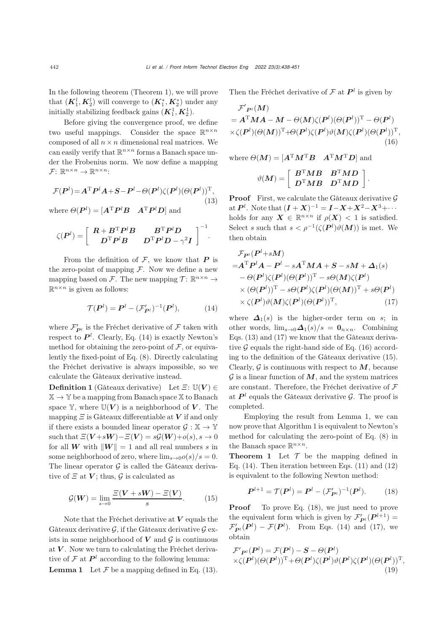In the following theorem (Theorem 1), we will prove that  $(K_1^l, K_2^l)$  will converge to  $(K_1^*, K_2^*)$  under any initially stabilizing feedback gains  $(K_1^1, K_2^1)$ .

Before giving the convergence proof, we define two useful mappings. Consider the space  $\mathbb{R}^{n \times n}$ composed of all  $n \times n$  dimensional real matrices. We can easily verify that  $\mathbb{R}^{n \times n}$  forms a Banach space under the Frobenius norm. We now define a mapping  $\mathcal{F}$ :  $\mathbb{R}^{n \times n} \to \mathbb{R}^{n \times n}$ :

<span id="page-4-1"></span>
$$
\mathcal{F}(\boldsymbol{P}^l) = \boldsymbol{A}^{\mathrm{T}} \boldsymbol{P}^l \boldsymbol{A} + \boldsymbol{S} - \boldsymbol{P}^l - \Theta(\boldsymbol{P}^l) \zeta(\boldsymbol{P}^l) (\Theta(\boldsymbol{P}^l))^{\mathrm{T}},\tag{13}
$$

where  $\Theta(P^l) = [A^{\mathrm{T}} P^l B \quad A^{\mathrm{T}} P^l D]$  and

$$
\zeta(\boldsymbol{P}^l)=\left[\begin{array}{cc}\boldsymbol{R}+\boldsymbol{B}^{\mathrm{T}}\boldsymbol{P}^l\boldsymbol{B} & \boldsymbol{B}^{\mathrm{T}}\boldsymbol{P}^l\boldsymbol{D} \\ \boldsymbol{D}^{\mathrm{T}}\boldsymbol{P}^l\boldsymbol{B} & \boldsymbol{D}^{\mathrm{T}}\boldsymbol{P}^l\boldsymbol{D}-\gamma^2\boldsymbol{I}\end{array}\right]^{-1}.
$$

From the definition of  $F$ , we know that  $P$  is the zero-point of mapping  $\mathcal F$ . Now we define a new mapping based on F. The new mapping  $\mathcal{T}$ :  $\mathbb{R}^{n \times n}$   $\rightarrow$  $\mathbb{R}^{n \times n}$  is given as follows:

<span id="page-4-0"></span>
$$
\mathcal{T}(\boldsymbol{P}^l) = \boldsymbol{P}^l - (\mathcal{F}_{\boldsymbol{P}^l}')^{-1}(\boldsymbol{P}^l),\tag{14}
$$

where  $\mathcal{F}_{\mathbf{P}^l}$  is the Fréchet derivative of  $\mathcal{F}$  taken with respect to  $\mathbf{P}^l$ . Clearly, Eq. [\(14\)](#page-4-0) is exactly Newton's method for obtaining the zero-point of  $\mathcal F$ , or equivalently the fixed-point of Eq. [\(8\)](#page-3-2). Directly calculating the Fréchet derivative is always impossible, so we calculate the Gâteaux derivative instead.

**Definition 1** (Gâteaux derivative) Let  $\Xi$ :  $\mathbb{U}(V) \in$  $\mathbb{X} \to \mathbb{Y}$  be a mapping from Banach space X to Banach space  $\mathbb{Y}$ , where  $\mathbb{U}(V)$  is a neighborhood of V. The mapping  $\Xi$  is Gâteaux differentiable at  $V$  if and only if there exists a bounded linear operator  $\mathcal{G}: \mathbb{X} \to \mathbb{Y}$ such that  $\Xi(V+ sW) - \Xi(V) = s\mathcal{G}(W) + o(s), s \to 0$ for all **W** with  $||W|| = 1$  and all real numbers s in some neighborhood of zero, where  $\lim_{s\to 0}o(s)/s=0$ . The linear operator  $\mathcal G$  is called the Gâteaux derivative of  $\Xi$  at  $V$ ; thus,  $\mathcal G$  is calculated as

<span id="page-4-4"></span>
$$
\mathcal{G}(\boldsymbol{W}) = \lim_{s \to 0} \frac{\varXi(\boldsymbol{V} + s\boldsymbol{W}) - \varXi(\boldsymbol{V})}{s}.
$$
 (15)

Note that the Fréchet derivative at *V* equals the Gâteaux derivative  $\mathcal{G}$ , if the Gâteaux derivative  $\mathcal{G}$  exists in some neighborhood of  $V$  and  $\mathcal G$  is continuous at *V* . Now we turn to calculating the Fréchet derivative of  $\mathcal F$  at  $\mathbf P^l$  according to the following lemma: **Lemma 1** Let  $\mathcal F$  be a mapping defined in Eq. [\(13\)](#page-4-1).

Then the Fréchet derivative of  $\mathcal F$  at  $\mathbf P^l$  is given by

$$
\mathcal{F}'_{\mathbf{P}^l}(M)
$$
  
=  $\mathbf{A}^{\mathrm{T}} \mathbf{M} \mathbf{A} - \mathbf{M} - \Theta(\mathbf{M}) \zeta(\mathbf{P}^l) (\Theta(\mathbf{P}^l))^{\mathrm{T}} - \Theta(\mathbf{P}^l)$   
 $\times \zeta(\mathbf{P}^l) (\Theta(\mathbf{M}))^{\mathrm{T}} + \Theta(\mathbf{P}^l) \zeta(\mathbf{P}^l) \vartheta(\mathbf{M}) \zeta(\mathbf{P}^l) (\Theta(\mathbf{P}^l))^{\mathrm{T}},$   
(16)

where  $\Theta(M) = [A^{\mathrm{T}} M^{\mathrm{T}} B \quad A^{\mathrm{T}} M^{\mathrm{T}} D]$  and

<span id="page-4-3"></span>
$$
\vartheta(M) = \left[ \begin{array}{cc} B^{\mathrm{T}}MB & B^{\mathrm{T}}MD \\ D^{\mathrm{T}}MB & D^{\mathrm{T}}MD \end{array} \right].
$$

**Proof** First, we calculate the Gâteaux derivative  $\mathcal{G}$  $A \in \mathbb{P}^l$ . Note that  $(I + X)^{-1} = I - X + X^2 - X^3 + \cdots$ holds for any  $\mathbf{X} \in \mathbb{R}^{n \times n}$  if  $\rho(\mathbf{X}) < 1$  is satisfied. Select s such that  $s < \rho^{-1}(\zeta(\mathbf{P}^l)\vartheta(\mathbf{M}))$  is met. We then obtain

$$
\mathcal{F}_{\mathbf{P}^l}(\mathbf{P}^l + s\mathbf{M})
$$
\n
$$
= \mathbf{A}^{\mathrm{T}} \mathbf{P}^l \mathbf{A} - \mathbf{P}^l - s\mathbf{A}^{\mathrm{T}} \mathbf{M} \mathbf{A} + \mathbf{S} - s\mathbf{M} + \mathbf{\Delta}_1(s)
$$
\n
$$
- \Theta(\mathbf{P}^l)\zeta(\mathbf{P}^l)(\Theta(\mathbf{P}^l))^{\mathrm{T}} - s\Theta(\mathbf{M})\zeta(\mathbf{P}^l)
$$
\n
$$
\times (\Theta(\mathbf{P}^l))^{\mathrm{T}} - s\Theta(\mathbf{P}^l)\zeta(\mathbf{P}^l)(\Theta(\mathbf{M}))^{\mathrm{T}} + s\Theta(\mathbf{P}^l)
$$
\n
$$
\times \zeta(\mathbf{P}^l)\vartheta(\mathbf{M})\zeta(\mathbf{P}^l)(\Theta(\mathbf{P}^l))^{\mathrm{T}}, \qquad (17)
$$

<span id="page-4-2"></span>where  $\Delta_1(s)$  is the higher-order term on s; in other words,  $\lim_{s\to 0} \Delta_1(s)/s = \mathbf{0}_{n\times n}$ . Combining Eqs. [\(13\)](#page-4-1) and [\(17\)](#page-4-2) we know that the Gâteaux derivative  $\mathcal G$  equals the right-hand side of Eq. [\(16\)](#page-4-3) according to the definition of the Gâteaux derivative [\(15\)](#page-4-4). Clearly,  $\mathcal G$  is continuous with respect to  $M$ , because  $\mathcal G$  is a linear function of  $\mathcal M$ , and the system matrices are constant. Therefore, the Fréchet derivative of  $\mathcal F$ at  $P^l$  equals the Gâteaux derivative  $\mathcal G$ . The proof is completed.

Employing the result from Lemma 1, we can now prove that Algorithm 1 is equivalent to Newton's method for calculating the zero-point of Eq. [\(8\)](#page-3-2) in the Banach space  $\mathbb{R}^{n \times n}$ .

**Theorem 1** Let  $\mathcal T$  be the mapping defined in Eq.  $(14)$ . Then iteration between Eqs.  $(11)$  and  $(12)$ is equivalent to the following Newton method:

<span id="page-4-5"></span>
$$
\boldsymbol{P}^{l+1} = \mathcal{T}(\boldsymbol{P}^l) = \boldsymbol{P}^l - (\mathcal{F}'_{\boldsymbol{P}^l})^{-1}(\boldsymbol{P}^l). \tag{18}
$$

**Proof** To prove Eq. [\(18\)](#page-4-5), we just need to prove the equivalent form which is given by  $\mathcal{F}'_{P^l}(P^{l+1}) =$  $\mathcal{F}_{\mathbf{P}^l}(\mathbf{P}^l) - \mathcal{F}(\mathbf{P}^l)$ . From Eqs. [\(14\)](#page-4-0) and [\(17\)](#page-4-2), we obtain

<span id="page-4-6"></span>
$$
\mathcal{F}'_{\mathbf{P}^l}(\mathbf{P}^l) = \mathcal{F}(\mathbf{P}^l) - \mathbf{S} - \Theta(\mathbf{P}^l) \times \zeta(\mathbf{P}^l)(\Theta(\mathbf{P}^l))^{\mathrm{T}} + \Theta(\mathbf{P}^l)\zeta(\mathbf{P}^l)\vartheta(\mathbf{P}^l)\zeta(\mathbf{P}^l)(\Theta(\mathbf{P}^l))^{\mathrm{T}},
$$
\n(19)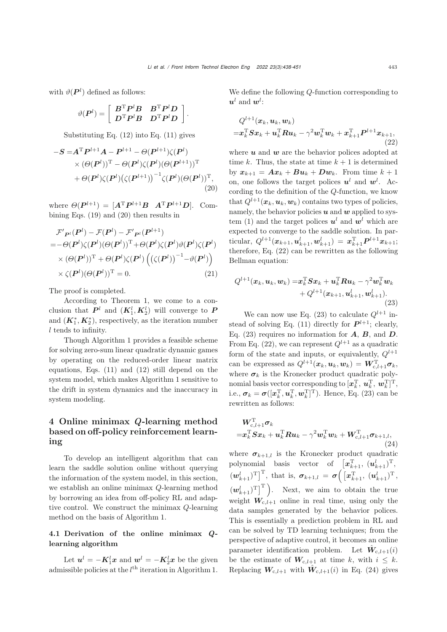with  $\vartheta(P^l)$  defined as follows:

$$
\vartheta(\boldsymbol{P}^l)=\left[\begin{array}{ll} \boldsymbol{B}^{\rm T}\boldsymbol{P}^l\boldsymbol{B} & \boldsymbol{B}^{\rm T}\boldsymbol{P}^l\boldsymbol{D}\\ \boldsymbol{D}^{\rm T}\boldsymbol{P}^l\boldsymbol{B} & \boldsymbol{D}^{\rm T}\boldsymbol{P}^l\boldsymbol{D}\end{array}\right].
$$

Substituting Eq. [\(12\)](#page-3-4) into Eq. [\(11\)](#page-3-3) gives

$$
-S = AT Pl+1 A - Pl+1 - \Theta(Pl+1)\zeta(Pl)\times (\Theta(Pl))T - \Theta(Pl)\zeta(Pl)(\Theta(Pl+1))T+ \Theta(Pl)\zeta(Pl)(\zeta(Pl+1))-1\zeta(Pl)(\Theta(Pl))T, (20)
$$

where  $\Theta(P^{l+1})=[A^{\mathrm{T}}P^{l+1}B \ A^{\mathrm{T}}P^{l+1}D]$ . Combining Eqs. [\(19\)](#page-4-6) and [\(20\)](#page-5-0) then results in

$$
\mathcal{F}'_{\mathbf{P}^l}(\mathbf{P}^l) - \mathcal{F}(\mathbf{P}^l) - \mathcal{F}'_{\mathbf{P}^l}(\mathbf{P}^{l+1})
$$
\n
$$
= -\Theta(\mathbf{P}^l)\zeta(\mathbf{P}^l)(\Theta(\mathbf{P}^l))^{\mathrm{T}} + \Theta(\mathbf{P}^l)\zeta(\mathbf{P}^l)\vartheta(\mathbf{P}^l)\zeta(\mathbf{P}^l)
$$
\n
$$
\times (\Theta(\mathbf{P}^l))^{\mathrm{T}} + \Theta(\mathbf{P}^l)\zeta(\mathbf{P}^l) \left( (\zeta(\mathbf{P}^l))^{-1} - \vartheta(\mathbf{P}^l) \right)
$$
\n
$$
\times \zeta(\mathbf{P}^l)(\Theta(\mathbf{P}^l))^{\mathrm{T}} = 0. \tag{21}
$$

The proof is completed.

According to Theorem 1, we come to a conclusion that  $P^l$  and  $(K_1^l, K_2^l)$  will converge to  $P$ and  $(K_1^*, K_2^*)$ , respectively, as the iteration number l tends to infinity.

Though Algorithm 1 provides a feasible scheme for solving zero-sum linear quadratic dynamic games by operating on the reduced-order linear matrix equations, Eqs. [\(11\)](#page-3-3) and [\(12\)](#page-3-4) still depend on the system model, which makes Algorithm 1 sensitive to the drift in system dynamics and the inaccuracy in system modeling.

# 4 Online minimax *Q*-learning method based on off-policy reinforcement learning

To develop an intelligent algorithm that can learn the saddle solution online without querying the information of the system model, in this section, we establish an online minimax Q-learning method by borrowing an idea from off-policy RL and adaptive control. We construct the minimax Q-learning method on the basis of Algorithm 1.

## 4.1 Derivation of the online minimax *Q*learning algorithm

Let  $u^l = -K_1^lx$  and  $w^l = -K_2^lx$  be the given admissible policies at the  $l<sup>th</sup>$  iteration in Algorithm 1. We define the following Q-function corresponding to  $u^l$  and  $w^l$ :

<span id="page-5-1"></span>
$$
\begin{aligned} &Q^{l+1}(\boldsymbol{x}_{k},\boldsymbol{u}_{k},\boldsymbol{w}_{k})\\=&\boldsymbol{x}_{k}^{\mathrm{T}}\boldsymbol{S}\boldsymbol{x}_{k}+\boldsymbol{u}_{k}^{\mathrm{T}}\boldsymbol{R}\boldsymbol{u}_{k}-\gamma^{2}\boldsymbol{w}_{k}^{\mathrm{T}}\boldsymbol{w}_{k}+\boldsymbol{x}_{k+1}^{\mathrm{T}}\boldsymbol{P}^{l+1}\boldsymbol{x}_{k+1},\\ &\qquad(22)\end{aligned}
$$

<span id="page-5-0"></span>where  $u$  and  $w$  are the behavior polices adopted at time k. Thus, the state at time  $k + 1$  is determined by  $x_{k+1} = Ax_k + Bu_k + Dw_k$ . From time  $k+1$ on, one follows the target polices  $u^l$  and  $w^l$ . According to the definition of the Q-function, we know that  $Q^{l+1}(\boldsymbol{x}_k, \boldsymbol{u}_k, \boldsymbol{w}_k)$  contains two types of policies, namely, the behavior policies  $u$  and  $w$  applied to sys-tem [\(1\)](#page-2-0) and the target polices  $u^l$  and  $w^l$  which are expected to converge to the saddle solution. In par- $\text{ticular}, \ Q^{l+1}(\bm{x}_{k+1},\bm{u}_{k+1}^{l},\bm{w}_{k+1}^{l}) \ = \ \bm{x}_{k+1}^{\mathrm{T}}\bm{P}^{l+1}\bm{x}_{k+1};$ therefore, Eq. [\(22\)](#page-5-1) can be rewritten as the following Bellman equation:

<span id="page-5-2"></span>
$$
Q^{l+1}(\boldsymbol{x}_k, \boldsymbol{u}_k, \boldsymbol{w}_k) = \boldsymbol{x}_k^{\mathrm{T}} \boldsymbol{S} \boldsymbol{x}_k + \boldsymbol{u}_k^{\mathrm{T}} \boldsymbol{R} \boldsymbol{u}_k - \gamma^2 \boldsymbol{w}_k^{\mathrm{T}} \boldsymbol{w}_k + Q^{l+1}(\boldsymbol{x}_{k+1}, \boldsymbol{u}_{k+1}^l, \boldsymbol{w}_{k+1}^l).
$$
\n(23)

We can now use Eq. [\(23\)](#page-5-2) to calculate  $Q^{l+1}$  in-stead of solving Eq. [\(11\)](#page-3-3) directly for  $P^{l+1}$ ; clearly, Eq. [\(23\)](#page-5-2) requires no information for *A*, *B*, and *D*. From Eq. [\(22\)](#page-5-1), we can represent  $Q^{l+1}$  as a quadratic form of the state and inputs, or equivalently,  $Q^{l+1}$ can be expressed as  $Q^{l+1}(\boldsymbol{x}_k, \boldsymbol{u}_k, \boldsymbol{w}_k) = \boldsymbol{W}_{c,l+1}^{\mathrm{T}} \boldsymbol{\sigma}_k$ , where  $\sigma_k$  is the Kronecker product quadratic polynomial basis vector corresponding to  $[\boldsymbol{x}_k^{\mathrm{T}}, \, \boldsymbol{u}_k^{\mathrm{T}}, \, \boldsymbol{w}_k^{\mathrm{T}}]^{\mathrm{T}},$ i.e.,  $\sigma_k = \sigma([x_k^T, u_k^T, w_k^T]^T)$ . Hence, Eq. [\(23\)](#page-5-2) can be rewritten as follows:

<span id="page-5-3"></span>
$$
\begin{aligned} &\boldsymbol{W}_{\mathrm{c},l+1}^{\mathrm{T}} \boldsymbol{\sigma}_k \\ =& \boldsymbol{x}_k^{\mathrm{T}} \boldsymbol{S} \boldsymbol{x}_k + \boldsymbol{u}_k^{\mathrm{T}} \boldsymbol{R} \boldsymbol{u}_k - \gamma^2 \boldsymbol{w}_k^{\mathrm{T}} \boldsymbol{w}_k + \boldsymbol{W}_{\mathrm{c},l+1}^{\mathrm{T}} \boldsymbol{\sigma}_{k+1,l}, \\ & \hspace{10mm}(24) \end{aligned}
$$

where  $\sigma_{k+1,l}$  is the Kronecker product quadratic polynomial basis vector of  $[\boldsymbol{x}_{k+1}^{\mathrm{T}}, (\boldsymbol{u}_{k+1}^l)^{\mathrm{T}}]$ ,  $(w_{k+1}^l)^{\mathrm{T}} \big]^{\mathrm{T}}$ , that is,  $\sigma_{k+1,l} = \sigma \Big( \big[ x_{k+1}^{\mathrm{T}}, (u_{k+1}^l)^{\mathrm{T}} \big],$  $(w_{k+1}^l)^T$ ]<sup>T</sup>). Next, we aim to obtain the true weight  $W_{c,l+1}$  online in real time, using only the data samples generated by the behavior polices. This is essentially a prediction problem in RL and can be solved by TD learning techniques; from the perspective of adaptive control, it becomes an online parameter identification problem. Let  $\hat{W}_{c,l+1}(i)$ be the estimate of  $W_{c,l+1}$  at time k, with  $i \leq k$ . Replacing  $W_{c,l+1}$  with  $\hat{W}_{c,l+1}(i)$  in Eq. [\(24\)](#page-5-3) gives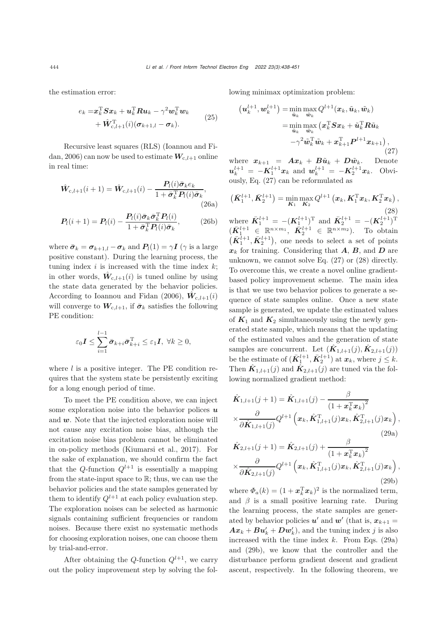the estimation error:

$$
e_k = \mathbf{x}_k^{\mathrm{T}} \mathbf{S} \mathbf{x}_k + \mathbf{u}_k^{\mathrm{T}} \mathbf{R} \mathbf{u}_k - \gamma^2 \mathbf{w}_k^{\mathrm{T}} \mathbf{w}_k + \hat{\mathbf{W}}_{c,l+1}^{\mathrm{T}}(i) (\boldsymbol{\sigma}_{k+1,l} - \boldsymbol{\sigma}_k).
$$
 (25)

[Recursive](#page-12-16) [least](#page-12-16) [squares](#page-12-16) [\(RLS\)](#page-12-16) [\(](#page-12-16)Ioannou and Fi-dan, [2006](#page-12-16)) can now be used to estimate  $W_{c,l+1}$  online in real time:

$$
\hat{\mathbf{W}}_{c,l+1}(i+1) = \hat{\mathbf{W}}_{c,l+1}(i) - \frac{P_l(i)\bar{\sigma}_k e_k}{1 + \bar{\sigma}_k^{\mathrm{T}} P_l(i)\bar{\sigma}_k},
$$
\n(26a)\n
$$
P_l(i+1) = P_l(i) - \frac{P_l(i)\bar{\sigma}_k \bar{\sigma}_k^{\mathrm{T}} P_l(i)}{1 + \bar{\sigma}_k^{\mathrm{T}} P_l(i)\bar{\sigma}_k},
$$
\n(26b)

where  $\bar{\sigma}_k = \sigma_{k+1,l} - \sigma_k$  and  $P_l(1) = \gamma I$  ( $\gamma$  is a large positive constant). During the learning process, the tuning index  $i$  is increased with the time index  $k$ ; in other words,  $\hat{W}_{c,l+1}(i)$  is tuned online by using the state data generated by the behavior policies. According to [Ioannou and Fidan](#page-12-16) [\(2006](#page-12-16)),  $\mathbf{W}_{c,l+1}(i)$ will converge to  $W_{c,l+1}$ , if  $\bar{\sigma}_k$  satisfies the following PE condition:

$$
\varepsilon_0 I \leq \sum_{i=1}^{l-1} \bar{\sigma}_{k+i} \bar{\sigma}_{k+i}^{\mathrm{T}} \leq \varepsilon_1 I, \ \forall k \geq 0,
$$

where  $l$  is a positive integer. The PE condition requires that the system state be persistently exciting for a long enough period of time.

To meet the PE condition above, we can inject some exploration noise into the behavior polices *u* and *w*. Note that the injected exploration noise will not cause any excitation noise bias, although the excitation noise bias problem cannot be eliminated in on-policy methods [\(Kiumarsi et al.](#page-12-10), [2017](#page-12-10)). For the sake of explanation, we should confirm the fact that the Q-function  $Q^{l+1}$  is essentially a mapping from the state-input space to  $\mathbb{R}$ ; thus, we can use the behavior policies and the state samples generated by them to identify  $Q^{l+1}$  at each policy evaluation step. The exploration noises can be selected as harmonic signals containing sufficient frequencies or random noises. Because there exist no systematic methods for choosing exploration noises, one can choose them by trial-and-error.

After obtaining the Q-function  $Q^{l+1}$ , we carry out the policy improvement step by solving the following minimax optimization problem:

<span id="page-6-0"></span>
$$
\begin{aligned} \left(\boldsymbol{u}_{k}^{l+1}, \boldsymbol{w}_{k}^{l+1}\right) &= \min _{\tilde{\boldsymbol{u}}_{k}} \max _{\tilde{\boldsymbol{w}}_{k}} Q^{l+1}(\boldsymbol{x}_{k}, \tilde{\boldsymbol{u}}_{k}, \tilde{\boldsymbol{w}}_{k}) \\ &= \min _{\tilde{\boldsymbol{u}}_{k}} \max _{\tilde{\boldsymbol{w}}_{k}} \left(\boldsymbol{x}_{k}^{\mathrm{T}} \boldsymbol{S} \boldsymbol{x}_{k} + \tilde{\boldsymbol{u}}_{k}^{\mathrm{T}} \boldsymbol{R} \tilde{\boldsymbol{u}}_{k} \right. \\ &\left. - \gamma^{2} \tilde{\boldsymbol{w}}_{k}^{\mathrm{T}} \tilde{\boldsymbol{w}}_{k} + \boldsymbol{x}_{k+1}^{\mathrm{T}} \boldsymbol{P}^{l+1} \boldsymbol{x}_{k+1}\right), \end{aligned} \tag{27}
$$

where  $x_{k+1} = Ax_k + B\tilde{u}_k + D\tilde{w}_k$ . Denote  $u_k^{l+1} = -K_1^{l+1}x_k$  and  $w_k^{l+1} = -K_2^{l+1}x_k$ . Obviously, Eq. [\(27\)](#page-6-0) can be reformulated as

<span id="page-6-5"></span><span id="page-6-4"></span><span id="page-6-1"></span>
$$
(\bar{K}_{1}^{l+1}, \bar{K}_{2}^{l+1}) = \min_{\mathbf{K}_{1}} \max_{\mathbf{K}_{2}} Q^{l+1} (\mathbf{x}_{k}, \mathbf{K}_{1}^{T} \mathbf{x}_{k}, \mathbf{K}_{2}^{T} \mathbf{x}_{k}),
$$
\n(28)  
\nwhere  $\bar{K}_{1}^{l+1} = -(K_{1}^{l+1})^{T}$  and  $\bar{K}_{2}^{l+1} = -(K_{2}^{l+1})^{T}$   
\n $(\bar{K}_{1}^{l+1} \in \mathbb{R}^{n \times m_{1}}, \bar{K}_{2}^{l+1} \in \mathbb{R}^{n \times m_{2}})$ . To obtain  
\n $(\bar{K}_{1}^{l+1}, \bar{K}_{2}^{l+1})$ , one needs to select a set of points  
\n $\mathbf{x}_{k}$  for training. Considering that **A**, **B**, and **D** are unknown, we cannot solve Eq. (27) or (28) directly.  
\nTo overcome this, we create a novel online gradient-based policy improvement scheme. The main idea  
\nis that we use two behavior policies to generate a se-  
\nquence of state samples online. Once a new state  
\nsample is generated, we update the estimated values  
\nof  $\mathbf{K}_{1}$  and  $\mathbf{K}_{2}$  simultaneously using the newly gen-  
\nerated state sample, which means that the updating  
\nof the estimated values and the generation of state  
\nsamples are concurrent. Let  $(\hat{K}_{1,l+1}(j), \hat{K}_{2,l+1}(j))$   
\nbe the estimate of  $(\bar{K}_{1}^{l+1}, \bar{K}_{2}^{l+1})$  at  $\mathbf{x}_{k}$ , where  $j \leq k$ .  
\nThen  $\hat{K}_{1,l+1}(j)$  and  $\hat{K}_{2,l+1}(j)$  are tuned via the fol-  
\nlowing normalized gradient method:

<span id="page-6-2"></span>
$$
\hat{\mathbf{K}}_{1,l+1}(j+1) = \hat{\mathbf{K}}_{1,l+1}(j) - \frac{\beta}{\left(1 + \mathbf{x}_k^{\mathrm{T}} \mathbf{x}_k\right)^2} \times \frac{\partial}{\partial \hat{\mathbf{K}}_{1,l+1}(j)} Q^{l+1} \left(\mathbf{x}_k, \hat{\mathbf{K}}_{1,l+1}^{\mathrm{T}}(j) \mathbf{x}_k, \hat{\mathbf{K}}_{2,l+1}^{\mathrm{T}}(j) \mathbf{x}_k\right),
$$
\n(29a)

<span id="page-6-3"></span>
$$
\hat{\mathbf{K}}_{2,l+1}(j+1) = \hat{\mathbf{K}}_{2,l+1}(j) + \frac{\beta}{\left(1 + \boldsymbol{x}_k^{\mathrm{T}} \boldsymbol{x}_k\right)^2} \times \frac{\partial}{\partial \hat{\mathbf{K}}_{2,l+1}(j)} Q^{l+1} \left(\boldsymbol{x}_k, \hat{\mathbf{K}}_{1,l+1}^{\mathrm{T}}(j) \boldsymbol{x}_k, \hat{\mathbf{K}}_{2,l+1}^{\mathrm{T}}(j) \boldsymbol{x}_k\right),
$$
\n(29b)

where  $\Phi_a(k) = (1 + \mathbf{x}_k^{\mathrm{T}} \mathbf{x}_k)^2$  is the normalized term, and  $\beta$  is a small positive learning rate. During the learning process, the state samples are generated by behavior policies  $u'$  and  $w'$  (that is,  $x_{k+1} =$  $A x_k + B u'_k + D w'_k$ , and the tuning index *j* is also increased with the time index  $k$ . From Eqs. [\(29a\)](#page-6-2) and [\(29b\)](#page-6-3), we know that the controller and the disturbance perform gradient descent and gradient ascent, respectively. In the following theorem, we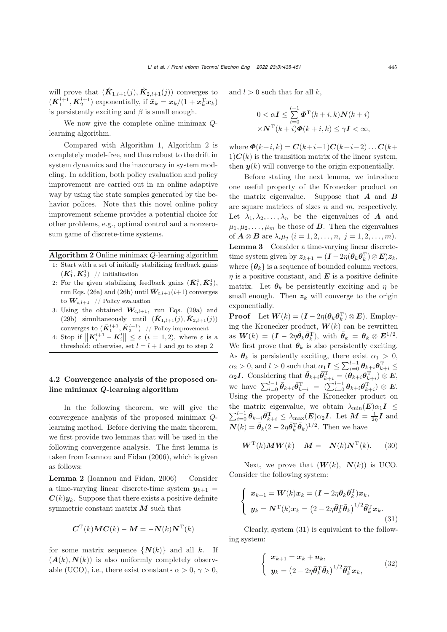will prove that  $(K_{1,l+1}(j), K_{2,l+1}(j))$  converges to  $(\bar{K}_1^{l+1}, \bar{K}_2^{l+1})$  exponentially, if  $\bar{x}_k = x_k/(1 + x_k^{\mathrm{T}} x_k)$ is persistently exciting and  $\beta$  is small enough.

We now give the complete online minimax Qlearning algorithm.

Compared with Algorithm 1, Algorithm 2 is completely model-free, and thus robust to the drift in system dynamics and the inaccuracy in system modeling. In addition, both policy evaluation and policy improvement are carried out in an online adaptive way by using the state samples generated by the behavior polices. Note that this novel online policy improvement scheme provides a potential choice for other problems, e.g., optimal control and a nonzerosum game of discrete-time systems.

## Algorithm 2 Online minimax Q-learning algorithm

- 1: Start with a set of initially stabilizing feedback gains  $(K_1^1, K_2^1)$  // Initialization
- 2: For the given stabilizing feedback gains  $(\bar{K}_1^1, \bar{K}_2^1)$ , run Eqs. [\(26a\)](#page-6-4) and [\(26b\)](#page-6-5) until  $\hat{W}_{c,l+1}(i+1)$  converges to  $W_{c,l+1}$  // Policy evaluation
- 3: Using the obtained  $W_{c,l+1}$ , run Eqs. [\(29a\)](#page-6-2) and [\(29b\)](#page-6-3) simultaneously until  $(\hat{K}_{1,l+1}(j), \hat{K}_{2,l+1}(j))$ converges to  $(\bar{K}_1^{l+1}, \bar{K}_2^{l+1})$  // Policy improvement
- 4: Stop if  $\|\mathbf{K}_{i}^{l+1} \mathbf{K}_{i}^{l}\| \leq \varepsilon$  (*i* = 1, 2), where  $\varepsilon$  is a threshold; otherwise, set  $l = l + 1$  and go to step 2

## 4.2 Convergence analysis of the proposed online minimax *Q*-learning algorithm

In the following theorem, we will give the convergence analysis of the proposed minimax Qlearning method. Before deriving the main theorem, we first provide two lemmas that will be used in the following convergence analysis. The first lemma is taken from [Ioannou and Fidan](#page-12-16) [\(2006\)](#page-12-16), which is given as follows:

Lemma 2 [\(Ioannou and Fidan, 2006\)](#page-12-16) Consider a time-varying linear discrete-time system  $y_{k+1}$  =  $C(k)y_k$ . Suppose that there exists a positive definite symmetric constant matrix *M* such that

$$
\boldsymbol{C}^{\mathrm{T}}(k)\boldsymbol{M}\boldsymbol{C}(k)-\boldsymbol{M}=-\boldsymbol{N}(k)\boldsymbol{N}^{\mathrm{T}}(k)
$$

for some matrix sequence  $\{N(k)\}\$ and all k. If  $(A(k), N(k))$  is also uniformly completely observable (UCO), i.e., there exist constants  $\alpha > 0$ ,  $\gamma > 0$ ,

and  $l > 0$  such that for all k,

$$
0 < \alpha \mathbf{I} \le \sum_{i=0}^{l-1} \boldsymbol{\Phi}^{\mathrm{T}}(k+i,k) \mathbf{N}(k+i) \times \mathbf{N}^{\mathrm{T}}(k+i) \boldsymbol{\Phi}(k+i,k) \le \gamma \mathbf{I} < \infty,
$$

where  $\Phi(k+i, k) = C(k+i-1)C(k+i-2)...C(k+i-1)$  $1)C(k)$  is the transition matrix of the linear system, then  $y(k)$  will converge to the origin exponentially.

Before stating the next lemma, we introduce one useful property of the Kronecker product on the matrix eigenvalue. Suppose that *A* and *B* are square matrices of sizes  $n$  and  $m$ , respectively. Let  $\lambda_1, \lambda_2, \ldots, \lambda_n$  be the eigenvalues of *A* and  $\mu_1, \mu_2, \ldots, \mu_m$  be those of *B*. Then the eigenvalues of  $A \otimes B$  are  $\lambda_i \mu_j$   $(i = 1, 2, ..., n, j = 1, 2, ..., m)$ . Lemma 3 Consider a time-varying linear discretetime system given by  $z_{k+1} = (I - 2\eta(\theta_k \theta_k^{\mathrm{T}}) \otimes E) z_k$ , where  ${\lbrace \theta_k \rbrace}$  is a sequence of bounded column vectors,  $\eta$  is a positive constant, and  $\boldsymbol{E}$  is a positive definite matrix. Let  $\theta_k$  be persistently exciting and  $\eta$  be small enough. Then  $z_k$  will converge to the origin exponentially.

**Proof** Let  $W(k) = (\mathbf{I} - 2\eta(\boldsymbol{\theta}_k \boldsymbol{\theta}_k^{\mathrm{T}}) \otimes \mathbf{E})$ . Employing the Kronecker product,  $W(k)$  can be rewritten as  $\mathbf{W}(k) = (\mathbf{I} - 2\eta \bar{\boldsymbol{\theta}}_k \bar{\boldsymbol{\theta}}_k^{\mathrm{T}}), \text{ with } \bar{\boldsymbol{\theta}}_k = \boldsymbol{\theta}_k \otimes \boldsymbol{E}^{1/2}.$ We first prove that  $\bar{\theta}_k$  is also persistently exciting. As  $\theta_k$  is persistently exciting, there exist  $\alpha_1 > 0$ ,  $\alpha_2 > 0$ , and  $l > 0$  such that  $\alpha_1 I \leq \sum_{i=0}^{l-1} \theta_{k+i} \theta_{k+i}^{\mathrm{T}} \leq$  $\alpha_2 I$ . Considering that  $\bar{\theta}_{k+i} \bar{\theta}_{k+i}^{\mathrm{T}} = (\theta_{k+i} \theta_{k+i}^{\mathrm{T}}) \otimes E$ , we have  $\sum_{i=0}^{l-1} \bar{\theta}_{k+i} \bar{\theta}_{k+i}^{\mathrm{T}} = (\sum_{i=0}^{l-1} \theta_{k+i} \theta_{k+i}^{\mathrm{T}}) \otimes E$ . Using the property of the Kronecker product on the matrix eigenvalue, we obtain  $\lambda_{\min}(E)\alpha_1 I \leq$  $\sum_{i=0}^{l-1} \bar{\theta}_{k+i} \bar{\theta}_{k+i}^{\mathrm{T}} \leq \lambda_{\max}(\boldsymbol{E}) \alpha_2 \boldsymbol{I}$ . Let  $\boldsymbol{M} = \frac{1}{2\eta} \boldsymbol{I}$  and  $\mathbf{N}(k) = \bar{\boldsymbol{\theta}}_k (2 - 2\eta \bar{\boldsymbol{\theta}}_k^{\mathrm{T}} \bar{\boldsymbol{\theta}}_k)^{1/2}$ . Then we have

<span id="page-7-2"></span>
$$
\boldsymbol{W}^{\mathrm{T}}(k)\boldsymbol{M}\boldsymbol{W}(k) - \boldsymbol{M} = -\boldsymbol{N}(k)\boldsymbol{N}^{\mathrm{T}}(k). \qquad (30)
$$

Next, we prove that  $(W(k), N(k))$  is UCO. Consider the following system:

<span id="page-7-0"></span>
$$
\begin{cases}\n\boldsymbol{x}_{k+1} = \boldsymbol{W}(k)\boldsymbol{x}_k = (\boldsymbol{I} - 2\eta\bar{\boldsymbol{\theta}}_k\bar{\boldsymbol{\theta}}_k^{\mathrm{T}})\boldsymbol{x}_k, \\
\boldsymbol{y}_k = \boldsymbol{N}^{\mathrm{T}}(k)\boldsymbol{x}_k = (2 - 2\eta\bar{\boldsymbol{\theta}}_k^{\mathrm{T}}\bar{\boldsymbol{\theta}}_k)^{1/2}\bar{\boldsymbol{\theta}}_k^{\mathrm{T}}\boldsymbol{x}_k.\n\end{cases}
$$
\n(31)

Clearly, system [\(31\)](#page-7-0) is equivalent to the following system:

<span id="page-7-1"></span>
$$
\begin{cases}\n\boldsymbol{x}_{k+1} = \boldsymbol{x}_k + \boldsymbol{u}_k, \\
\boldsymbol{y}_k = \left(2 - 2\eta \bar{\boldsymbol{\theta}}_k^{\mathrm{T}} \bar{\boldsymbol{\theta}}_k\right)^{1/2} \bar{\boldsymbol{\theta}}_k^{\mathrm{T}} \boldsymbol{x}_k,\n\end{cases} \tag{32}
$$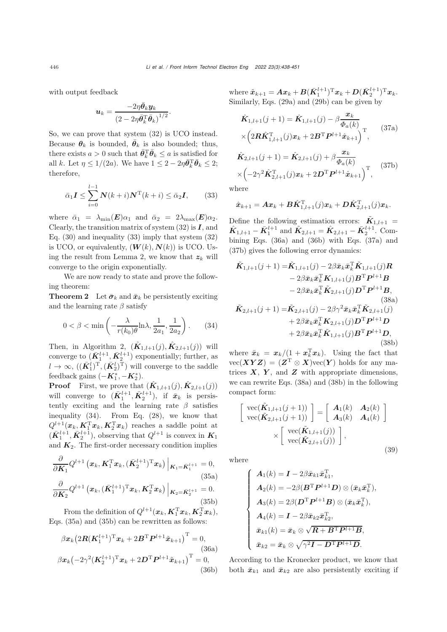with output feedback

$$
\boldsymbol{u}_k = \frac{-2\eta\bar{\boldsymbol{\theta}}_k\boldsymbol{y}_k}{\left(2-2\eta\bar{\boldsymbol{\theta}}_k^\mathrm{T}\bar{\boldsymbol{\theta}}_k\right)^{1/2}}.
$$

So, we can prove that system [\(32\)](#page-7-1) is UCO instead. Because  $\theta_k$  is bounded,  $\bar{\theta}_k$  is also bounded; thus, there exists  $a > 0$  such that  $\bar{\theta}_k^{\mathrm{T}} \bar{\theta}_k \leq a$  is satisfied for all k. Let  $\eta \leq 1/(2a)$ . We have  $1 \leq 2 - 2\eta \bar{\theta}_k^T \bar{\theta}_k \leq 2$ ; therefore,

<span id="page-8-0"></span>
$$
\bar{\alpha}_1 \mathbf{I} \le \sum_{i=0}^{l-1} \mathbf{N}(k+i) \mathbf{N}^{\mathrm{T}}(k+i) \le \bar{\alpha}_2 \mathbf{I},
$$
 (33)

where  $\bar{\alpha}_1 = \lambda_{\min}(\mathbf{E})\alpha_1$  and  $\bar{\alpha}_2 = 2\lambda_{\max}(\mathbf{E})\alpha_2$ . Clearly, the transition matrix of system [\(32\)](#page-7-1) is *I*, and Eq.  $(30)$  and inequality  $(33)$  imply that system  $(32)$ is UCO, or equivalently,  $(W(k), N(k))$  is UCO. Using the result from Lemma 2, we know that  $z_k$  will converge to the origin exponentially.

We are now ready to state and prove the following theorem:

**Theorem 2** Let  $\bar{\sigma}_k$  and  $\bar{x}_k$  be persistently exciting and the learning rate  $\beta$  satisfy

<span id="page-8-1"></span>
$$
0 < \beta < \min\left(-\frac{\lambda}{r(k_0)\theta} \ln \lambda, \frac{1}{2a_1}, \frac{1}{2a_2}\right). \tag{34}
$$

Then, in Algorithm 2,  $(\hat{\mathbf{K}}_{1,l+1}(j), \hat{\mathbf{K}}_{2,l+1}(j))$  will converge to  $(\bar{\mathbf{K}}_1^{l+1}, \bar{\mathbf{K}}_2^{l+1})$  exponentially; further, as  $l \to \infty, \, ((\bar{\bm{K}}_1^l)^{\mathrm{T}}, (\bar{\bm{K}}_2^l)^{\mathrm{T}})$  will converge to the saddle feedback gains  $(-\mathbf{K}_1^*, -\mathbf{K}_2^*)$ .

**Proof** First, we prove that  $(\hat{\mathbf{K}}_{1,l+1}(j), \hat{\mathbf{K}}_{2,l+1}(j))$ will converge to  $(\bar{K}_1^{l+1}, \bar{K}_2^{l+1})$ , if  $\bar{x}_k$  is persistently exciting and the learning rate  $\beta$  satisfies inequality [\(34\)](#page-8-1). From Eq. [\(28\)](#page-6-1), we know that  $Q^{l+1}(\boldsymbol{x}_k, \boldsymbol{K}_1^{\mathrm{T}} \boldsymbol{x}_k, \boldsymbol{K}_2^{\mathrm{T}} \boldsymbol{x}_k)$  reaches a saddle point at  $(\bar{\mathbf{K}}_1^{l+1}, \bar{\mathbf{K}}_2^{l+1})$ , observing that  $Q^{l+1}$  is convex in  $\mathbf{K}_1$ and  $K_2$ . The first-order necessary condition implies

<span id="page-8-2"></span>
$$
\frac{\partial}{\partial \mathbf{K}_1} Q^{l+1} \left( \mathbf{x}_k, \mathbf{K}_1^{\mathrm{T}} \mathbf{x}_k, (\bar{\mathbf{K}}_2^{l+1})^{\mathrm{T}} \mathbf{x}_k \right) \Big|_{\mathbf{K}_1 = \bar{\mathbf{K}}_1^{l+1}} = 0,
$$
\n(35a)\n
$$
\frac{\partial}{\partial \mathbf{K}_2} Q^{l+1} \left( \mathbf{x}_k, (\bar{\mathbf{K}}_1^{l+1})^{\mathrm{T}} \mathbf{x}_k, \mathbf{K}_2^{\mathrm{T}} \mathbf{x}_k \right) \Big|_{\mathbf{K}_2 = \bar{\mathbf{K}}_2^{l+1}} = 0.
$$
\n(35b)

<span id="page-8-3"></span>From the definition of  $Q^{l+1}(\boldsymbol{x}_k, \boldsymbol{K}_1^{\mathrm{T}} \boldsymbol{x}_k, \boldsymbol{K}_2^{\mathrm{T}} \boldsymbol{x}_k)$ , Eqs. [\(35a\)](#page-8-2) and [\(35b\)](#page-8-3) can be rewritten as follows:

<span id="page-8-5"></span><span id="page-8-4"></span>
$$
\beta \boldsymbol{x}_{k} \left( 2\boldsymbol{R} (\boldsymbol{K}_{1}^{l+1})^{\mathrm{T}} \boldsymbol{x}_{k} + 2\boldsymbol{B}^{\mathrm{T}} \boldsymbol{P}^{l+1} \tilde{\boldsymbol{x}}_{k+1} \right)^{\mathrm{T}} = 0, \tag{36a}
$$
\n
$$
\beta \boldsymbol{x}_{k} \left( -2\gamma^{2} (\boldsymbol{K}_{2}^{l+1})^{\mathrm{T}} \boldsymbol{x}_{k} + 2\boldsymbol{D}^{\mathrm{T}} \boldsymbol{P}^{l+1} \tilde{\boldsymbol{x}}_{k+1} \right)^{\mathrm{T}} = 0, \tag{36b}
$$

where  $\tilde{x}_{k+1} = Ax_k + B(\bar{K}_1^{l+1})^{\mathrm{T}} x_k + D(\bar{K}_2^{l+1})^{\mathrm{T}} x_k$ . Similarly, Eqs. [\(29a\)](#page-6-2) and [\(29b\)](#page-6-3) can be given by

<span id="page-8-6"></span>
$$
\hat{K}_{1,l+1}(j+1) = \hat{K}_{1,l+1}(j) - \beta \frac{x_k}{\Phi_a(k)} \times \left(2R\hat{K}_{1,l+1}^{\mathrm{T}}(j)x_k + 2B^{\mathrm{T}}P^{l+1}\hat{x}_{k+1}\right)^{\mathrm{T}},
$$
\n(37a)

<span id="page-8-7"></span>
$$
\hat{\mathbf{K}}_{2,l+1}(j+1) = \hat{\mathbf{K}}_{2,l+1}(j) + \beta \frac{\mathbf{x}_k}{\Phi_a(k)}\n\times \left(-2\gamma^2 \hat{\mathbf{K}}_{2,l+1}^{\mathrm{T}}(j)\mathbf{x}_k + 2\mathbf{D}^{\mathrm{T}} \mathbf{P}^{l+1} \hat{\mathbf{x}}_{k+1}\right)^{\mathrm{T}},
$$
\n(37b)

where

$$
\hat{\boldsymbol{x}}_{k+1} = \boldsymbol{A}\boldsymbol{x}_k + \boldsymbol{B}\hat{\boldsymbol{K}}_{1,l+1}^\mathrm{T}(j)\boldsymbol{x}_k + \boldsymbol{D}\hat{\boldsymbol{K}}_{2,l+1}^\mathrm{T}(j)\boldsymbol{x}_k.
$$

Define the following estimation errors:  $\tilde{K}_{1,l+1}$  =  $\hat{K}_{1,l+1} - \bar{K}_1^{l+1}$  and  $\tilde{K}_{2,l+1} = \hat{K}_{2,l+1} - \bar{K}_2^{l+1}$ . Combining Eqs. [\(36a\)](#page-8-4) and [\(36b\)](#page-8-5) with Eqs. [\(37a\)](#page-8-6) and [\(37b\)](#page-8-7) gives the following error dynamics:

<span id="page-8-8"></span>
$$
\tilde{K}_{1,l+1}(j+1) = \tilde{K}_{1,l+1}(j) - 2\beta \bar{x}_k \bar{x}_k^{\mathrm{T}} \tilde{K}_{1,l+1}(j) R \n- 2\beta \bar{x}_k \bar{x}_k^{\mathrm{T}} K_{1,l+1}(j) B^{\mathrm{T}} P^{l+1} B \n- 2\beta \bar{x}_k \bar{x}_k^{\mathrm{T}} \tilde{K}_{2,l+1}(j) D^{\mathrm{T}} P^{l+1} B, \n(38a)\n\tilde{K}_{2,l+1}(j+1) = \tilde{K}_{2,l+1}(j) - 2\beta \gamma^2 \bar{x}_k \bar{x}_k^{\mathrm{T}} \tilde{K}_{2,l+1}(j) \n+ 2\beta \bar{x}_k \bar{x}_k^{\mathrm{T}} K_{2,l+1}(j) D^{\mathrm{T}} P^{l+1} D \n+ 2\beta \bar{x}_k \bar{x}_k^{\mathrm{T}} \tilde{K}_{1,l+1}(j) B^{\mathrm{T}} P^{l+1} D, \n(38b)
$$

<span id="page-8-9"></span>where  $\bar{x}_k = x_k/(1 + x_k^{\mathrm{T}} x_k)$ . Using the fact that  $vec(XYZ)=(Z^T\otimes X)vec(Y)$  holds for any matrices  $X$ ,  $Y$ , and  $Z$  with appropriate dimensions, we can rewrite Eqs. [\(38a\)](#page-8-8) and [\(38b\)](#page-8-9) in the following compact form:

<span id="page-8-10"></span>
$$
\begin{bmatrix}\n\operatorname{vec}(\tilde{K}_{1,l+1}(j+1)) \\
\operatorname{vec}(\tilde{K}_{2,l+1}(j+1))\n\end{bmatrix} =\n\begin{bmatrix}\nA_1(k) & A_2(k) \\
A_3(k) & A_4(k)\n\end{bmatrix}\n\times\n\begin{bmatrix}\n\operatorname{vec}(\tilde{K}_{1,l+1}(j)) \\
\operatorname{vec}(\tilde{K}_{2,l+1}(j))\n\end{bmatrix},
$$
\n(39)

where

$$
\begin{cases}\n\mathbf{A}_1(k) = \mathbf{I} - 2\beta \bar{\mathbf{x}}_{k1} \bar{\mathbf{x}}_{k1}^{\mathrm{T}}, \\
\mathbf{A}_2(k) = -2\beta (\mathbf{B}^{\mathrm{T}} \mathbf{P}^{l+1} \mathbf{D}) \otimes (\bar{\mathbf{x}}_k \bar{\mathbf{x}}_k^{\mathrm{T}}), \\
\mathbf{A}_3(k) = 2\beta (\mathbf{D}^{\mathrm{T}} \mathbf{P}^{l+1} \mathbf{B}) \otimes (\bar{\mathbf{x}}_k \bar{\mathbf{x}}_k^{\mathrm{T}}), \\
\mathbf{A}_4(k) = \mathbf{I} - 2\beta \bar{\mathbf{x}}_{k2} \bar{\mathbf{x}}_{k2}^{\mathrm{T}}, \\
\bar{\mathbf{x}}_{k1}(k) = \bar{\mathbf{x}}_k \otimes \sqrt{\mathbf{R} + \mathbf{B}^{\mathrm{T}} \mathbf{P}^{l+1} \mathbf{B}}, \\
\bar{\mathbf{x}}_{k2} = \bar{\mathbf{x}}_k \otimes \sqrt{\gamma^2 \mathbf{I} - \mathbf{D}^{\mathrm{T}} \mathbf{P}^{l+1} \mathbf{D}}.\n\end{cases}
$$

According to the Kronecker product, we know that both  $\bar{x}_{k1}$  and  $\bar{x}_{k2}$  are also persistently exciting if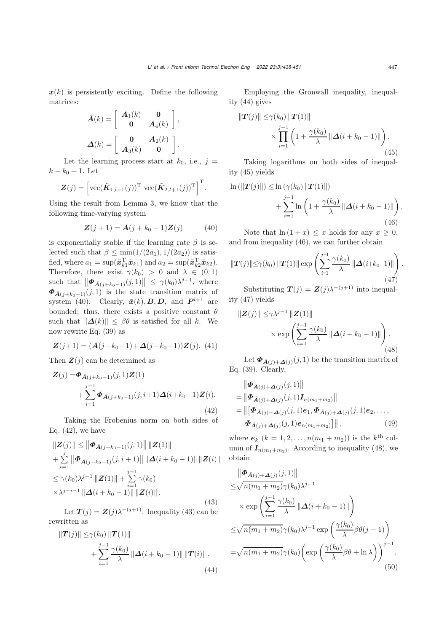$\bar{x}(k)$  is persistently exciting. Define the following matrices:

$$
\bar{A}(k) = \begin{bmatrix} A_1(k) & 0 \\ 0 & A_4(k) \end{bmatrix},
$$

$$
\Delta(k) = \begin{bmatrix} 0 & A_2(k) \\ A_3(k) & 0 \end{bmatrix}.
$$

Let the learning process start at  $k_0$ , i.e.,  $j =$  $k - k_0 + 1$ . Let

$$
\mathbf{Z}(j) = \left[\text{vec}(\tilde{\mathbf{K}}_{1,l+1}(j))^{\text{T}} \text{vec}(\tilde{\mathbf{K}}_{2,l+1}(j))^{\text{T}}\right]^{\text{T}}.
$$

Using the result from Lemma 3, we know that the following time-varying system

$$
Z(j+1) = \bar{A}(j + k_0 - 1)Z(j)
$$
 (40)

is exponentially stable if the learning rate  $\beta$  is selected such that  $\beta \le \min(1/(2a_1), 1/(2a_2))$  is satisfied, where  $a_1 = \sup(\bar{x}_{k1}^T \bar{x}_{k1})$  and  $a_2 = \sup(\bar{x}_{k2}^T \bar{x}_{k2})$ . Therefore, there exist  $\gamma(k_0) > 0$  and  $\lambda \in (0,1)$ such that  $\|\mathbf{\Phi}_{\bar{A}(j+k_0-1)}(j,1)\| \leq \gamma(k_0)\lambda^{j-1}$ , where  $\Phi_{\bar{A}(j+k_0-1)}(j,1)$  is the state transition matrix of system [\(40\)](#page-9-0). Clearly,  $\bar{x}(k)$ , *B*, *D*, and  $P^{l+1}$  are bounded; thus, there exists a positive constant  $\theta$ such that  $\|\Delta(k)\| \leq \beta\theta$  is satisfied for all k. We now rewrite Eq. [\(39\)](#page-8-10) as

$$
\mathbf{Z}(j+1) = (\bar{\mathbf{A}}(j+k_0-1) + \mathbf{\Delta}(j+k_0-1))\mathbf{Z}(j). \tag{41}
$$

Then  $\mathbf{Z}(j)$  can be determined as

<span id="page-9-1"></span>
$$
Z(j) = \Phi_{\bar{A}(j+k_0-1)}(j,1)Z(1) + \sum_{i=1}^{j-1} \Phi_{\bar{A}(j+k_0-1)}(j,i+1)\Delta(i+k_0-1)Z(i).
$$
\n(42)

Taking the Frobenius norm on both sides of Eq.  $(42)$ , we have

<span id="page-9-2"></span>
$$
\|Z(j)\| \le \left\| \Phi_{\bar{A}(j+k_0-1)}(j,1) \right\| \|Z(1)\| + \sum_{i=1}^{j} \left\| \Phi_{\bar{A}(j+k_0-1)}(j,i+1) \right\| \| \Delta(i+k_0-1) \| \|Z(i)\| \le \gamma(k_0) \lambda^{j-1} \|Z(1)\| + \sum_{i=1}^{j-1} \gamma(k_0) \times \lambda^{j-i-1} \| \Delta(i+k_0-1) \| \|Z(i)\|.
$$
\n(43)

Let  $T(j) = Z(j)\lambda^{-(j+1)}$ . Inequality [\(43\)](#page-9-2) can be rewritten as

<span id="page-9-3"></span>
$$
||T(j)|| \leq \gamma(k_0) ||T(1)||
$$
  
+ 
$$
\sum_{i=1}^{j-1} \frac{\gamma(k_0)}{\lambda} ||\Delta(i + k_0 - 1)|| ||T(i)||.
$$
 (44)

Employing the Gronwall inequality, inequality [\(44\)](#page-9-3) gives

<span id="page-9-4"></span>
$$
\|T(j)\| \leq \gamma(k_0) \|T(1)\|
$$
  
\$\times \prod\_{i=1}^{j-1} \left(1 + \frac{\gamma(k\_0)}{\lambda} \| \Delta(i + k\_0 - 1) \| \right).\$ (45)

Taking logarithms on both sides of inequality [\(45\)](#page-9-4) yields

<span id="page-9-5"></span>
$$
\ln (||T(j)||) \leq \ln (\gamma(k_0) ||T(1)||) + \sum_{i=1}^{j-1} \ln \left( 1 + \frac{\gamma(k_0)}{\lambda} ||\Delta(i + k_0 - 1)|| \right).
$$
\n(46)

<span id="page-9-0"></span>Note that  $\ln(1+x) \leq x$  holds for any  $x \geq 0$ , and from inequality [\(46\)](#page-9-5), we can further obtain

<span id="page-9-6"></span>
$$
\|\boldsymbol{T}(j)\| \leq \gamma(k_0) \|\boldsymbol{T}(1)\| \exp\left(\sum_{i=1}^{j-1} \frac{\gamma(k_0)}{\lambda} \|\boldsymbol{\Delta}(i+k_0-1)\|\right).
$$
\n(47)

Substituting  $T(j) = Z(j)\lambda^{-(j+1)}$  into inequality [\(47\)](#page-9-6) yields

<span id="page-9-7"></span>
$$
\|Z(j)\| \leq \gamma \lambda^{j-1} \|Z(1)\|
$$
  
 
$$
\times \exp\left(\sum_{i=1}^{j-1} \frac{\gamma(k_0)}{\lambda} \|\Delta(i+k_0-1)\|\right).
$$
 (48)

Let  $\mathbf{\Phi}_{\bar{A}(j)+\mathbf{\Delta}(j)}(j,1)$  be the transition matrix of Eq. [\(39\)](#page-8-10). Clearly,

$$
\|\Phi_{\bar{A}(j)+\Delta(j)}(j,1)\| \n= \|\Phi_{\bar{A}(j)+\Delta(j)}(j,1)I_{n(m_1+m_2)}\| \n= \|[\Phi_{\bar{A}(j)+\Delta(j)}(j,1)e_1, \Phi_{\bar{A}(j)+\Delta(j)}(j,1)e_2, \dots, \Phi_{\bar{A}(j)+\Delta(j)}(j,1)e_{n(m_1+m_2)}] \|,
$$
\n(49)

where  $e_k$   $(k = 1, 2, ..., n(m_1 + m_2))$  is the k<sup>th</sup> column of  $I_{n(m_1+m_2)}$ . According to inequality [\(48\)](#page-9-7), we obtain

$$
\|\Phi_{\bar{A}(j)+\Delta(j)}(j,1)\|
$$
  
\n
$$
\leq \sqrt{n(m_1+m_2)}\gamma(k_0)\lambda^{j-1}
$$
  
\n
$$
\times \exp\left(\sum_{i=1}^{j-1} \frac{\gamma(k_0)}{\lambda} \|\Delta(i+k_0-1)\|\right)
$$
  
\n
$$
\leq \sqrt{n(m_1+m_2)}\gamma(k_0)\lambda^{j-1} \exp\left(\frac{\gamma(k_0)}{\lambda}\beta\theta(j-1)\right)
$$
  
\n
$$
=\sqrt{n(m_1+m_2)}\gamma(k_0)\left(\exp\left(\frac{\gamma(k_0)}{\lambda}\beta\theta+\ln\lambda\right)\right)^{j-1}.
$$
\n(50)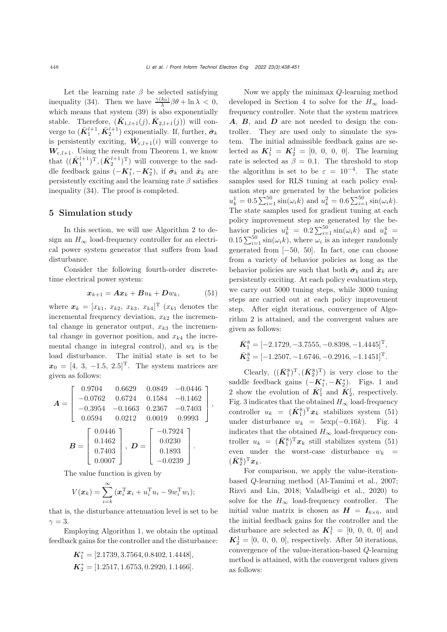Let the learning rate  $\beta$  be selected satisfying inequality [\(34\)](#page-8-1). Then we have  $\frac{\gamma(k_0)}{\lambda} \beta \theta + \ln \lambda < 0$ , which means that system  $(39)$  is also exponentially stable. Therefore,  $(\hat{K}_{1,l+1}(j), \hat{K}_{2,l+1}(j))$  will converge to  $(\bar{\mathbf{K}}_1^{l+1}, \bar{\mathbf{K}}_2^{l+1})$  exponentially. If, further,  $\bar{\boldsymbol{\sigma}}_k$ is persistently exciting,  $\hat{W}_{c,l+1}(i)$  will converge to  $W_{c,l+1}$ . Using the result from Theorem 1, we know that  $((\bar{K}_1^{l+1})^T, (\bar{K}_2^{l+1})^T)$  will converge to the saddle feedback gains  $(-\mathbf{K}_1^*, -\mathbf{K}_2^*)$ , if  $\bar{\boldsymbol{\sigma}}_k$  and  $\bar{\boldsymbol{x}}_k$  are persistently exciting and the learning rate  $\beta$  satisfies inequality [\(34\)](#page-8-1). The proof is completed.

#### 5 Simulation study

In this section, we will use Algorithm 2 to design an  $H_{\infty}$  load-frequency controller for an electrical power system generator that suffers from load disturbance.

Consider the following fourth-order discretetime electrical power system:

<span id="page-10-0"></span>
$$
x_{k+1} = Ax_k + Bu_k + Dw_k, \qquad (51)
$$

where  $x_k = [x_{k1}, x_{k2}, x_{k3}, x_{k4}]^T$  ( $x_{k1}$  denotes the incremental frequency deviation,  $x_{k2}$  the incremental change in generator output,  $x_{k3}$  the incremental change in governor position, and  $x_{k4}$  the incremental change in integral control), and  $w_k$  is the load disturbance. The initial state is set to be  $x_0 = [4, 3, -1.5, 2.5]^T$ . The system matrices are given as follows:

$$
\mathbf{A} = \begin{bmatrix} 0.9704 & 0.6629 & 0.0849 & -0.0446 \\ -0.0762 & 0.6724 & 0.1584 & -0.1462 \\ -0.3954 & -0.1663 & 0.2367 & -0.7403 \\ 0.0594 & 0.0212 & 0.0019 & 0.9993 \end{bmatrix},
$$

$$
\mathbf{B} = \begin{bmatrix} 0.0446 \\ 0.1462 \\ 0.7403 \\ 0.0007 \end{bmatrix}, \mathbf{D} = \begin{bmatrix} -0.7924 \\ 0.0230 \\ 0.1893 \\ -0.0239 \end{bmatrix}.
$$

The value function is given by

$$
V(\boldsymbol{x}_k) = \sum_{i=k}^{\infty} (\boldsymbol{x}_i^{\mathrm{T}} \boldsymbol{x}_i + u_i^{\mathrm{T}} u_i - 9 w_i^{\mathrm{T}} w_i);
$$

that is, the disturbance attenuation level is set to be  $\gamma=3.$ 

Employing Algorithm 1, we obtain the optimal feedback gains for the controller and the disturbance:

$$
K_1^* = [2.1739, 3.7564, 0.8402, 1.4448],
$$
  

$$
K_2^* = [1.2517, 1.6753, 0.2920, 1.1466].
$$

Now we apply the minimax Q-learning method developed in Section 4 to solve for the  $H_{\infty}$  loadfrequency controller. Note that the system matrices *A*, *B*, and *D* are not needed to design the controller. They are used only to simulate the system. The initial admissible feedback gains are selected as  $K_1^1 = K_2^1 = [0, 0, 0, 0]$ . The learning rate is selected as  $\beta = 0.1$ . The threshold to stop the algorithm is set to be  $\varepsilon = 10^{-4}$ . The state samples used for RLS tuning at each policy evaluation step are generated by the behavior policies  $u_k^1 = 0.5 \sum_{i=1}^{50} \sin(\omega_i k)$  and  $u_k^2 = 0.6 \sum_{i=1}^{50} \sin(\omega_i k)$ . The state samples used for gradient tuning at each policy improvement step are generated by the behavior policies  $u_k^3 = 0.2 \sum_{i=1}^{50} \sin(\omega_i k)$  and  $u_k^4 =$  $0.15\sum_{i=1}^{50} \sin(\omega_i k)$ , where  $\omega_i$  is an integer randomly generated from [−50, 50]. In fact, one can choose from a variety of behavior policies as long as the behavior policies are such that both  $\bar{\sigma}_k$  and  $\bar{x}_k$  are persistently exciting. At each policy evaluation step, we carry out 5000 tuning steps, while 3000 tuning steps are carried out at each policy improvement step. After eight iterations, convergence of Algorithm 2 is attained, and the convergent values are given as follows:

$$
\bar{K}_{1}^{8} = [-2.1729, -3.7555, -0.8398, -1.4445]^{T},
$$
  
\n
$$
\bar{K}_{2}^{8} = [-1.2507, -1.6746, -0.2916, -1.1451]^{T}.
$$

Clearly,  $((\bar{K}_1^8)^T,(\bar{K}_2^8)^T)$  is very close to the saddle feedback gains  $(-\mathbf{K}_1^*, -\mathbf{K}_2^*)$ . Figs. 1 and 2 show the evolution of  $\bar{K}_1^l$  and  $\bar{K}_2^l$ , respectively. Fig. 3 indicates that the obtained  $H_{\infty}$  load-frequency controller  $u_k = (\bar{K}_1^8)^T x_k$  stabilizes system (51) under disturbance  $w_k = 5 \exp(-0.16k)$ . Fig. 4 indicates that the obtained  $H_{\infty}$  load-frequency controller  $u_k = (\bar{K}_1^8)^T x_k$  still stabilizes system [\(51\)](#page-10-0) even under the worst-case disturbance  $w_k$  =  $(\bar{\boldsymbol{K}}_2^8)^{\mathrm{T}}\boldsymbol{x}_k.$ 

For comparison, we apply the value-iterationbased Q-learning method [\(Al-Tamimi et al.](#page-12-13), [2007;](#page-12-13) [Rizvi and Lin, 2018;](#page-13-11) [Valadbeigi et al.](#page-13-3), [2020\)](#page-13-3) to solve for the  $H_{\infty}$  load-frequency controller. The initial value matrix is chosen as  $H = I_{6 \times 6}$ , and the initial feedback gains for the controller and the disturbance are selected as  $K_1^1 = [0, 0, 0, 0]$  and  $K_2^1 = [0, 0, 0, 0]$ , respectively. After 50 iterations, convergence of the value-iteration-based Q-learning method is attained, with the convergent values given as follows: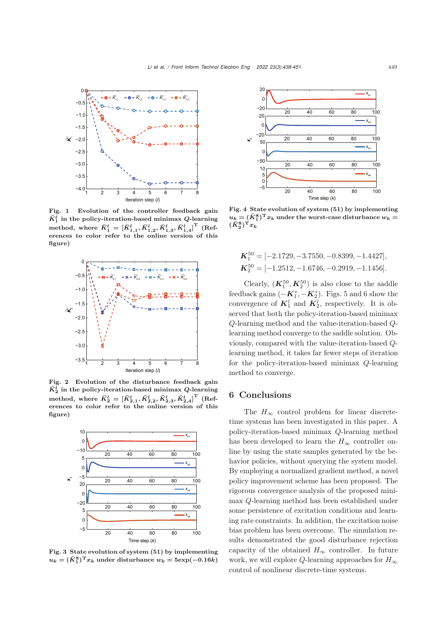

Fig. 1 Evolution of the controller feedback gain  $\bar{K}_1^l$  in the policy-iteration-based minimax *Q*-learning method, where  $\bar{K}_{1}^{l}=[\bar{K}_{1,1}^{l},\bar{K}_{1,2}^{l},\bar{K}_{1,3}^{l},\bar{K}_{1,4}^{l}]^{\text{T}}$  (References to color refer to the online version of this figure)



Fig. 2 Evolution of the disturbance feedback gain  $\bar{K}^l_2$  in the policy-iteration-based minimax *Q*-learning method, where  $\bar{K}_{2}^{l}=[\bar{K}_{2,1}^{l},\bar{K}_{2,2}^{l},\bar{K}_{2,3}^{l},\bar{K}_{2,4}^{l}]^{\text{T}}$  (References to color refer to the online version of this figure)



Fig. 3 State evolution of system (51) by implementing  $u_k = (\bar{K}_1^8)^{\mathrm{T}} x_k$  under disturbance  $w_k = 5 \exp(-0.16k)$ 



Fig. 4 State evolution of system (51) by implementing  $u_k = (\bar{K}_1^8)^{\mathrm{T}} x_k$  under the worst-case disturbance  $w_k =$  $(\bar{K}^8_2)^\mathrm{T} x_k$ 

$$
K_1^{50} = [-2.1729, -3.7550, -0.8399, -1.4427],
$$
  
\n
$$
K_2^{50} = [-1.2512, -1.6746, -0.2919, -1.1456].
$$

Clearly,  $(K_1^{50}, K_2^{50})$  is also close to the saddle feedback gains  $(-\mathbf{K}_1^*, -\mathbf{K}_2^*)$ . Figs. 5 and 6 show the convergence of  $K_1^l$  and  $K_2^l$ , respectively. It is observed that both the policy-iteration-based minimax Q-learning method and the value-iteration-based Qlearning method converge to the saddle solution. Obviously, compared with the value-iteration-based Qlearning method, it takes far fewer steps of iteration for the policy-iteration-based minimax Q-learning method to converge.

#### 6 Conclusions

The  $H_{\infty}$  control problem for linear discretetime systems has been investigated in this paper. A policy-iteration-based minimax Q-learning method has been developed to learn the  $H_{\infty}$  controller online by using the state samples generated by the behavior policies, without querying the system model. By employing a normalized gradient method, a novel policy improvement scheme has been proposed. The rigorous convergence analysis of the proposed minimax Q-learning method has been established under some persistence of excitation conditions and learning rate constraints. In addition, the excitation noise bias problem has been overcome. The simulation results demonstrated the good disturbance rejection capacity of the obtained  $H_{\infty}$  controller. In future work, we will explore Q-learning approaches for  $H_{\infty}$ control of nonlinear discrete-time systems.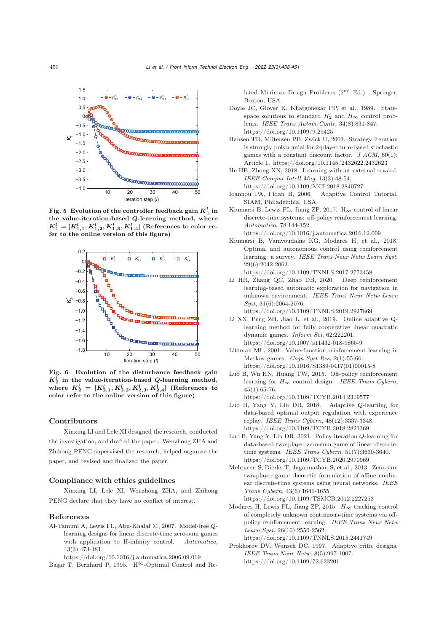

Fig. 5 Evolution of the controller feedback gain  $K_1^l$  in the value-iteration-based *Q*-learning method, where  $K_1^l = [K_{1,1}^l, K_{1,2}^l, K_{1,3}^l, K_{1,4}^l]$  (References to color refer to the online version of this figure)



Fig. 6 Evolution of the disturbance feedback gain  $K_2^l$  in the value-iteration-based *Q*-learning method, where  $K_2^l~=~[K_{2,1}^l,K_{2,2}^l,K_{2,3}^l,K_{2,4}^l]$  (References to color refer to the online version of this figure)

#### Contributors

Xinxing LI and Lele XI designed the research, conducted the investigation, and drafted the paper. Wenzhong ZHA and Zhihong PENG supervised the research, helped organize the paper, and revised and finalized the paper.

#### Compliance with ethics guidelines

Xinxing LI, Lele XI, Wenzhong ZHA, and Zhihong PENG declare that they have no conflict of interest.

#### References

<span id="page-12-13"></span>Al-Tamimi A, Lewis FL, Abu-Khalaf M, 2007. Model-free *Q*learning designs for linear discrete-time zero-sum games with application to H-infinity control. *Automatica*, 43(3):473-481.

<span id="page-12-6"></span>https://doi.org/10.1016/j.automatica.2006.09.019 Basar T, Bernhard P, 1995.  $H^{\infty}$ -Optimal Control and Related Minimax Design Problems (2nd Ed.). Springer, Boston, USA.

- <span id="page-12-5"></span>Doyle JC, Glover K, Khargonekar PP, et al., 1989. Statespace solutions to standard  $H_2$  and  $H_{\infty}$  control problems. *IEEE Trans Autom Contr*, 34(8):831-847. https://doi.org/10.1109/9.29425
- <span id="page-12-14"></span>Hansen TD, Miltersen PB, Zwick U, 2003. Strategy iteration is strongly polynomial for 2-player turn-based stochastic games with a constant discount factor. *J ACM*, 60(1): Article 1. https://doi.org/10.1145/2432622.2432623
- <span id="page-12-2"></span>He HB, Zhong XN, 2018. Learning without external reward. *IEEE Comput Intell Mag*, 13(3):48-54. https://doi.org/10.1109/MCI.2018.2840727
- <span id="page-12-16"></span>Ioannou PA, Fidan B, 2006. Adaptive Control Tutorial. SIAM, Philadelphia, USA.
- <span id="page-12-10"></span>Kiumarsi B, Lewis FL, Jiang ZP, 2017.  $H_{\infty}$  control of linear discrete-time systems: off-policy reinforcement learning. *Automatica*, 78:144-152. https://doi.org/10.1016/j.automatica.2016.12.009
- <span id="page-12-0"></span>Kiumarsi B, Vamvoudakis KG, Modares H, et al., 2018. Optimal and autonomous control using reinforcement learning: a survey. *IEEE Trans Neur Netw Learn Syst*, 29(6):2042-2062.
	- https://doi.org/10.1109/TNNLS.2017.2773458
- <span id="page-12-3"></span>Li HR, Zhang QC, Zhao DB, 2020. Deep reinforcement learning-based automatic exploration for navigation in unknown environment. *IEEE Trans Neur Netw Learn Syst*, 31(6):2064-2076.

https://doi.org/10.1109/TNNLS.2019.2927869

- <span id="page-12-4"></span>Li XX, Peng ZH, Jiao L, et al., 2019. Online adaptive Qlearning method for fully cooperative linear quadratic dynamic games. *Inform Sci*, 62:222201. https://doi.org/10.1007/s11432-018-9865-9
- <span id="page-12-11"></span>Littman ML, 2001. Value-function reinforcement learning in Markov games. *Cogn Syst Res*, 2(1):55-66. https://doi.org/10.1016/S1389-0417(01)00015-8
- <span id="page-12-7"></span>Luo B, Wu HN, Huang TW, 2015. Off-policy reinforcement learning for *H*<sup>∞</sup> control design. *IEEE Trans Cybern*,  $45(1):65-76.$
- https://doi.org/10.1109/TCYB.2014.2319577 Luo B, Yang Y, Liu DR, 2018. Adaptive *Q*-learning for
- <span id="page-12-12"></span>data-based optimal output regulation with experience replay. *IEEE Trans Cybern*, 48(12):3337-3348. https://doi.org/10.1109/TCYB.2018.2821369
- <span id="page-12-15"></span>Luo B, Yang Y, Liu DR, 2021. Policy iteration *Q*-learning for data-based two-player zero-sum game of linear discretetime systems. *IEEE Trans Cybern*, 51(7):3630-3640. https://doi.org/10.1109/TCYB.2020.2970969
- <span id="page-12-9"></span>Mehraeen S, Dierks T, Jagannathan S, et al., 2013. Zero-sum two-player game theoretic formulation of affine nonlinear discrete-time systems using neural networks. *IEEE Trans Cybern*, 43(6):1641-1655. https://doi.org/10.1109/TSMCB.2012.2227253
- <span id="page-12-8"></span>Modares H, Lewis FL, Jiang ZP, 2015.  $H_{\infty}$  tracking control of completely unknown continuous-time systems via offpolicy reinforcement learning. *IEEE Trans Neur Netw Learn Syst*, 26(10):2550-2562. https://doi.org/10.1109/TNNLS.2015.2441749
- <span id="page-12-1"></span>Prokhorov DV, Wunsch DC, 1997. Adaptive critic designs. *IEEE Trans Neur Netw*, 8(5):997-1007. https://doi.org/10.1109/72.623201